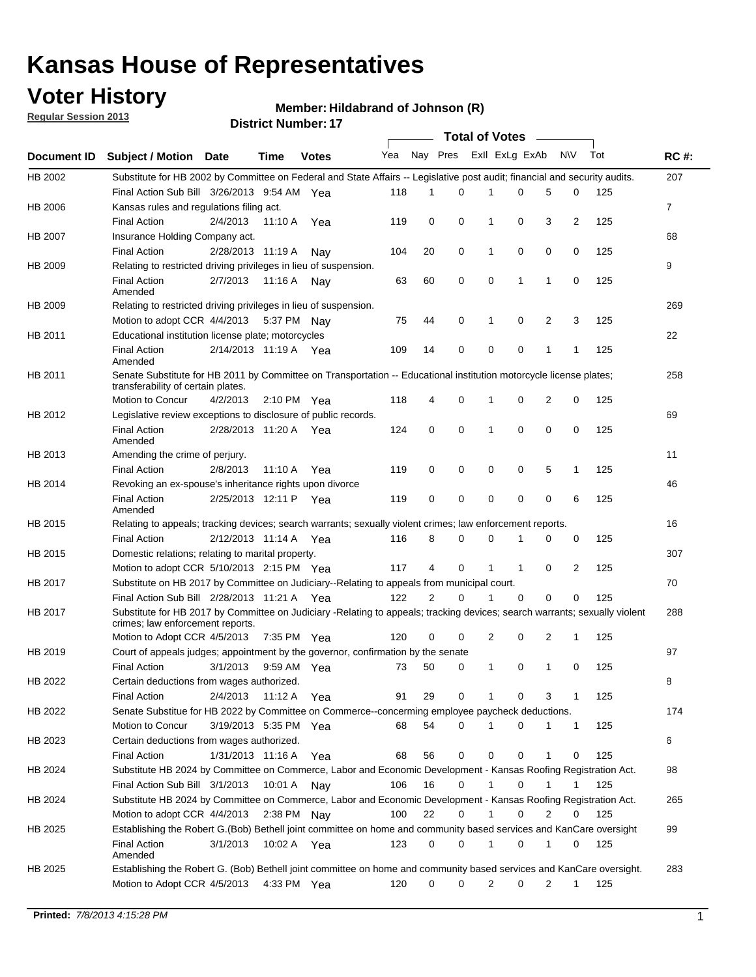## **Voter History**

**Member: Hildabrand of Johnson (R)** 

**Regular Session 2013**

|                |                                                                                                                                                                |                       |             |               |     |          |             | <b>Total of Votes</b> |             |                |                |     |             |
|----------------|----------------------------------------------------------------------------------------------------------------------------------------------------------------|-----------------------|-------------|---------------|-----|----------|-------------|-----------------------|-------------|----------------|----------------|-----|-------------|
| Document ID    | Subject / Motion Date                                                                                                                                          |                       | Time        | <b>Votes</b>  | Yea | Nay Pres |             | Exll ExLg ExAb        |             |                | <b>NV</b>      | Tot | <b>RC#:</b> |
| HB 2002        | Substitute for HB 2002 by Committee on Federal and State Affairs -- Legislative post audit; financial and security audits.                                     |                       |             |               |     |          |             |                       |             |                |                |     | 207         |
|                | Final Action Sub Bill 3/26/2013 9:54 AM Yea                                                                                                                    |                       |             |               | 118 | 1        | 0           | 1                     | 0           | 5              | 0              | 125 |             |
| HB 2006        | Kansas rules and regulations filing act.                                                                                                                       |                       |             |               |     |          |             |                       |             |                |                |     | 7           |
|                | <b>Final Action</b>                                                                                                                                            | 2/4/2013              | 11:10 A     | Yea           | 119 | 0        | 0           | 1                     | 0           | 3              | 2              | 125 |             |
| HB 2007        | Insurance Holding Company act.                                                                                                                                 |                       |             |               |     |          |             |                       |             |                |                |     | 68          |
|                | <b>Final Action</b>                                                                                                                                            | 2/28/2013 11:19 A     |             | Nav           | 104 | 20       | 0           | 1                     | 0           | 0              | 0              | 125 |             |
| HB 2009        | Relating to restricted driving privileges in lieu of suspension.                                                                                               |                       |             |               |     |          |             |                       |             |                |                |     | 9           |
|                | <b>Final Action</b><br>Amended                                                                                                                                 | 2/7/2013              | 11:16 A     | Nav           | 63  | 60       | 0           | 0                     | 1           | 1              | 0              | 125 |             |
| HB 2009        | Relating to restricted driving privileges in lieu of suspension.                                                                                               |                       |             |               |     |          |             |                       |             |                |                |     | 269         |
|                | Motion to adopt CCR 4/4/2013                                                                                                                                   |                       |             | 5:37 PM Nav   | 75  | 44       | 0           | 1                     | 0           | $\overline{2}$ | 3              | 125 |             |
| HB 2011        | Educational institution license plate; motorcycles                                                                                                             |                       |             |               |     |          |             |                       |             |                |                |     | 22          |
|                | <b>Final Action</b><br>Amended                                                                                                                                 | 2/14/2013 11:19 A Yea |             |               | 109 | 14       | 0           | 0                     | 0           | 1              | 1              | 125 |             |
| HB 2011        | Senate Substitute for HB 2011 by Committee on Transportation -- Educational institution motorcycle license plates;                                             |                       |             |               |     |          |             |                       |             |                |                |     | 258         |
|                | transferability of certain plates.                                                                                                                             |                       |             |               |     |          |             |                       |             |                |                |     |             |
|                | Motion to Concur                                                                                                                                               | 4/2/2013              |             | 2:10 PM $Yea$ | 118 | 4        | 0           | 1                     | 0           | 2              | 0              | 125 |             |
| HB 2012        | Legislative review exceptions to disclosure of public records.                                                                                                 |                       |             |               |     |          |             |                       |             |                |                |     | 69          |
|                | <b>Final Action</b><br>Amended                                                                                                                                 | 2/28/2013 11:20 A     |             | Yea           | 124 | 0        | $\mathbf 0$ | 1                     | 0           | 0              | 0              | 125 |             |
| HB 2013        | Amending the crime of perjury.                                                                                                                                 |                       |             |               |     |          |             |                       |             |                |                |     | 11          |
|                | <b>Final Action</b>                                                                                                                                            | 2/8/2013              | 11:10 A     | Yea           | 119 | 0        | 0           | 0                     | 0           | 5              | 1              | 125 |             |
| HB 2014        | Revoking an ex-spouse's inheritance rights upon divorce                                                                                                        |                       |             |               |     |          |             |                       |             |                |                |     | 46          |
|                | <b>Final Action</b><br>Amended                                                                                                                                 | 2/25/2013 12:11 P     |             | Yea           | 119 | 0        | 0           | 0                     | 0           | 0              | 6              | 125 |             |
| HB 2015        | Relating to appeals; tracking devices; search warrants; sexually violent crimes; law enforcement reports.                                                      |                       |             |               |     |          |             |                       |             |                |                |     | 16          |
|                | <b>Final Action</b>                                                                                                                                            | 2/12/2013 11:14 A Yea |             |               | 116 | 8        | 0           | $\Omega$              |             | 0              | 0              | 125 |             |
| HB 2015        | Domestic relations; relating to marital property.                                                                                                              |                       |             |               |     |          |             |                       |             |                |                |     | 307         |
|                | Motion to adopt CCR 5/10/2013 2:15 PM Yea                                                                                                                      |                       |             |               | 117 | 4        | $\Omega$    | 1                     | $\mathbf 1$ | 0              | $\overline{2}$ | 125 |             |
| HB 2017        | Substitute on HB 2017 by Committee on Judiciary--Relating to appeals from municipal court.                                                                     |                       |             |               |     |          |             |                       |             |                |                |     | 70          |
|                | Final Action Sub Bill 2/28/2013 11:21 A Yea                                                                                                                    |                       |             |               | 122 | 2        | $\Omega$    | 1                     | 0           | 0              | 0              | 125 |             |
| <b>HB 2017</b> | Substitute for HB 2017 by Committee on Judiciary -Relating to appeals; tracking devices; search warrants; sexually violent<br>crimes; law enforcement reports. |                       |             |               |     |          |             |                       |             |                |                |     | 288         |
|                | Motion to Adopt CCR 4/5/2013                                                                                                                                   |                       | 7:35 PM Yea |               | 120 | 0        | 0           | 2                     | 0           | 2              | 1              | 125 |             |
| HB 2019        | Court of appeals judges; appointment by the governor, confirmation by the senate                                                                               |                       |             |               |     |          |             |                       |             |                |                |     | 97          |
|                | <b>Final Action</b>                                                                                                                                            | 3/1/2013              | 9:59 AM Yea |               | 73  | 50       | 0           | 1                     | 0           | 1              | 0              | 125 |             |
| HB 2022        | Certain deductions from wages authorized.                                                                                                                      |                       |             |               |     |          |             |                       |             |                |                |     | В           |
|                | <b>Final Action</b>                                                                                                                                            | 2/4/2013              | 11:12 A Yea |               | 91  | 29       | 0           | 1                     | 0           | 3              | 1              | 125 |             |
| HB 2022        | Senate Substitue for HB 2022 by Committee on Commerce--concerming employee paycheck deductions.                                                                |                       |             |               |     |          |             |                       |             |                |                |     | 174         |
|                | Motion to Concur                                                                                                                                               | 3/19/2013 5:35 PM Yea |             |               | 68  | 54       | 0           | 1                     | 0           | 1              | 1              | 125 |             |
| HB 2023        | Certain deductions from wages authorized.                                                                                                                      |                       |             |               |     |          |             |                       |             |                |                |     | 6           |
|                | <b>Final Action</b>                                                                                                                                            | 1/31/2013 11:16 A Yea |             |               | 68  | 56       | 0           | 0                     | 0           | 1              | 0              | 125 |             |
| HB 2024        | Substitute HB 2024 by Committee on Commerce, Labor and Economic Development - Kansas Roofing Registration Act.                                                 |                       |             |               |     |          |             |                       |             |                |                |     | 98          |
|                | Final Action Sub Bill 3/1/2013 10:01 A Nay                                                                                                                     |                       |             |               | 106 | 16       | 0           | 1                     | 0           |                |                | 125 |             |
| HB 2024        | Substitute HB 2024 by Committee on Commerce, Labor and Economic Development - Kansas Roofing Registration Act.                                                 |                       |             |               |     |          |             |                       |             |                |                |     | 265         |
|                | Motion to adopt CCR 4/4/2013                                                                                                                                   |                       | 2:38 PM Nay |               | 100 | 22       | 0           |                       | 0           | 2              | 0              | 125 |             |
| HB 2025        | Establishing the Robert G.(Bob) Bethell joint committee on home and community based services and KanCare oversight                                             |                       |             |               |     |          |             |                       |             |                |                |     | 99          |
|                | <b>Final Action</b><br>Amended                                                                                                                                 | 3/1/2013              | 10:02 A Yea |               | 123 | 0        | 0           | 1                     | 0           | 1              | 0              | 125 |             |
| HB 2025        | Establishing the Robert G. (Bob) Bethell joint committee on home and community based services and KanCare oversight.                                           |                       |             |               |     |          |             |                       |             |                |                |     | 283         |
|                | Motion to Adopt CCR 4/5/2013                                                                                                                                   |                       |             | 4:33 PM Yea   | 120 | 0        | 0           | 2                     | 0           | 2              | $\mathbf{1}$   | 125 |             |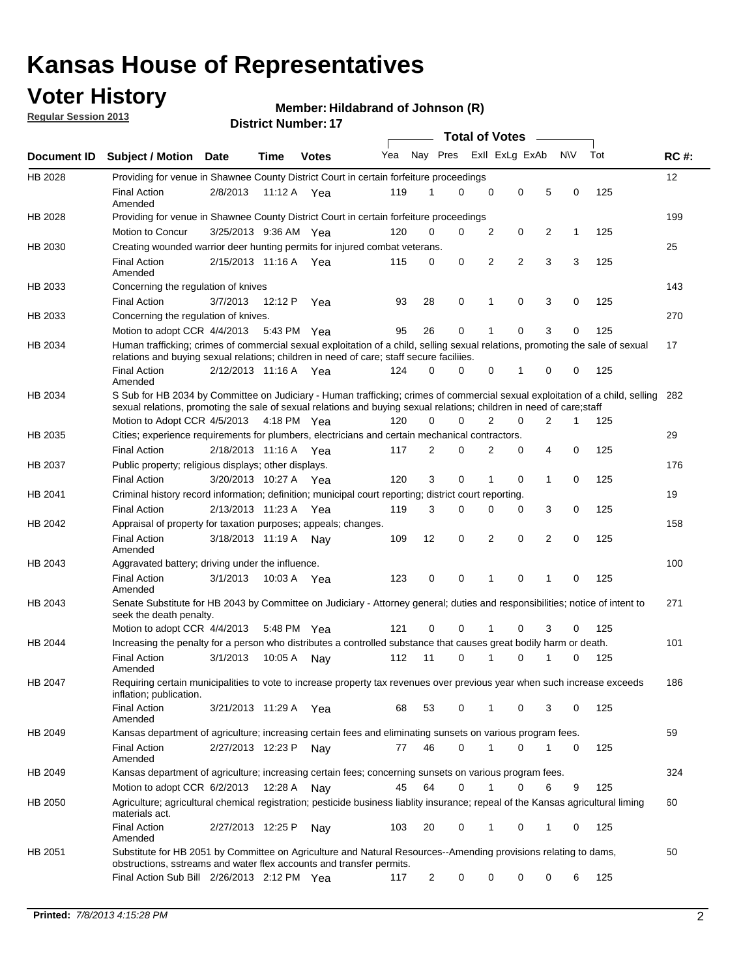## **Voter History**

**Regular Session 2013**

#### **Member: Hildabrand of Johnson (R)**

|                    |                                                                                                                                                                                                                                                        |                       |             |              |     |             | <b>Total of Votes</b> |                |                | $\sim$         |           |     |             |
|--------------------|--------------------------------------------------------------------------------------------------------------------------------------------------------------------------------------------------------------------------------------------------------|-----------------------|-------------|--------------|-----|-------------|-----------------------|----------------|----------------|----------------|-----------|-----|-------------|
| <b>Document ID</b> | Subject / Motion Date                                                                                                                                                                                                                                  |                       | <b>Time</b> | <b>Votes</b> | Yea | Nay Pres    |                       |                | Exll ExLg ExAb |                | <b>NV</b> | Tot | <b>RC#:</b> |
| HB 2028            | Providing for venue in Shawnee County District Court in certain forfeiture proceedings                                                                                                                                                                 |                       |             |              |     |             |                       |                |                |                |           |     | 12          |
|                    | <b>Final Action</b><br>Amended                                                                                                                                                                                                                         | 2/8/2013              | 11:12 A Yea |              | 119 | 1           | $\Omega$              | $\mathbf 0$    | $\mathbf 0$    | 5              | 0         | 125 |             |
| HB 2028            | Providing for venue in Shawnee County District Court in certain forfeiture proceedings                                                                                                                                                                 |                       |             |              |     |             |                       |                |                |                |           |     | 199         |
|                    | Motion to Concur                                                                                                                                                                                                                                       | 3/25/2013 9:36 AM Yea |             |              | 120 | 0           | 0                     | 2              | 0              | 2              | 1         | 125 |             |
| HB 2030            | Creating wounded warrior deer hunting permits for injured combat veterans.                                                                                                                                                                             |                       |             |              |     |             |                       |                |                |                |           |     | 25          |
|                    | <b>Final Action</b><br>Amended                                                                                                                                                                                                                         | 2/15/2013 11:16 A     |             | Yea          | 115 | 0           | 0                     | $\overline{2}$ | 2              | 3              | 3         | 125 |             |
| HB 2033            | Concerning the regulation of knives                                                                                                                                                                                                                    |                       |             |              |     |             |                       |                |                |                |           |     | 143         |
|                    | <b>Final Action</b>                                                                                                                                                                                                                                    | 3/7/2013              | 12:12 P     | Yea          | 93  | 28          | 0                     | 1              | 0              | 3              | 0         | 125 |             |
| HB 2033            | Concerning the regulation of knives.                                                                                                                                                                                                                   |                       |             |              |     |             |                       |                |                |                |           |     | 270         |
|                    | Motion to adopt CCR 4/4/2013                                                                                                                                                                                                                           |                       | 5:43 PM Yea |              | 95  | 26          | 0                     |                | 0              | 3              | 0         | 125 |             |
| HB 2034            | Human trafficking; crimes of commercial sexual exploitation of a child, selling sexual relations, promoting the sale of sexual<br>relations and buying sexual relations; children in need of care; staff secure faciliies.                             |                       |             |              |     |             |                       |                |                |                |           |     | 17          |
|                    | <b>Final Action</b><br>Amended                                                                                                                                                                                                                         | 2/12/2013 11:16 A Yea |             |              | 124 | $\Omega$    | 0                     | 0              | 1              | 0              | 0         | 125 |             |
| HB 2034            | S Sub for HB 2034 by Committee on Judiciary - Human trafficking; crimes of commercial sexual exploitation of a child, selling<br>sexual relations, promoting the sale of sexual relations and buying sexual relations; children in need of care; staff |                       |             |              |     |             |                       |                |                |                |           |     | 282         |
|                    | Motion to Adopt CCR 4/5/2013 4:18 PM Yea                                                                                                                                                                                                               |                       |             |              | 120 | $\mathbf 0$ | 0                     | $\overline{2}$ | $\mathbf 0$    | $\overline{2}$ | 1         | 125 |             |
| HB 2035            | Cities; experience requirements for plumbers, electricians and certain mechanical contractors.                                                                                                                                                         |                       |             |              |     |             |                       |                |                |                |           |     | 29          |
|                    | <b>Final Action</b>                                                                                                                                                                                                                                    | 2/18/2013 11:16 A     |             | Yea          | 117 | 2           | 0                     | 2              | 0              | 4              | 0         | 125 |             |
| HB 2037            | Public property; religious displays; other displays.                                                                                                                                                                                                   |                       |             |              |     |             |                       |                |                |                |           |     | 176         |
|                    | <b>Final Action</b>                                                                                                                                                                                                                                    | 3/20/2013 10:27 A     |             | Yea          | 120 | 3           | $\mathbf 0$           | 1              | 0              | 1              | 0         | 125 |             |
| HB 2041            | Criminal history record information; definition; municipal court reporting; district court reporting.                                                                                                                                                  |                       |             |              |     |             |                       |                |                |                |           |     | 19          |
|                    | <b>Final Action</b>                                                                                                                                                                                                                                    | 2/13/2013 11:23 A     |             | Yea          | 119 | 3           | 0                     | 0              | 0              | 3              | 0         | 125 |             |
| HB 2042            | Appraisal of property for taxation purposes; appeals; changes.                                                                                                                                                                                         |                       |             |              |     |             |                       |                |                |                |           |     | 158         |
|                    | <b>Final Action</b><br>Amended                                                                                                                                                                                                                         | 3/18/2013 11:19 A     |             | Nav          | 109 | 12          | 0                     | $\overline{2}$ | 0              | 2              | 0         | 125 |             |
| HB 2043            | Aggravated battery; driving under the influence.                                                                                                                                                                                                       |                       |             |              |     |             |                       |                |                |                |           |     | 100         |
|                    | <b>Final Action</b><br>Amended                                                                                                                                                                                                                         | 3/1/2013              | 10:03 A Yea |              | 123 | 0           | 0                     | 1              | 0              | 1              | 0         | 125 |             |
| HB 2043            | Senate Substitute for HB 2043 by Committee on Judiciary - Attorney general; duties and responsibilities; notice of intent to<br>seek the death penalty.                                                                                                |                       |             |              |     |             |                       |                |                |                |           |     | 271         |
|                    | Motion to adopt CCR 4/4/2013                                                                                                                                                                                                                           |                       | 5:48 PM     | Yea          | 121 | 0           | 0                     | 1              | 0              | 3              | 0         | 125 |             |
| HB 2044            | Increasing the penalty for a person who distributes a controlled substance that causes great bodily harm or death.                                                                                                                                     |                       |             |              |     |             |                       |                |                |                |           |     | 101         |
|                    | <b>Final Action</b><br>Amended                                                                                                                                                                                                                         | 3/1/2013              | 10:05 A     | Nav          | 112 | 11          | 0                     | 1              | 0              | 1              | 0         | 125 |             |
| HB 2047            | Requiring certain municipalities to vote to increase property tax revenues over previous year when such increase exceeds<br>inflation; publication.                                                                                                    |                       |             |              |     |             |                       |                |                |                |           |     | 186         |
|                    | <b>Final Action</b><br>Amended                                                                                                                                                                                                                         | 3/21/2013 11:29 A Yea |             |              | 68  | 53          | 0                     | 1              | 0              | 3              | 0         | 125 |             |
| HB 2049            | Kansas department of agriculture; increasing certain fees and eliminating sunsets on various program fees.                                                                                                                                             |                       |             |              |     |             |                       |                |                |                |           |     | 59          |
|                    | Final Action<br>Amended                                                                                                                                                                                                                                | 2/27/2013 12:23 P     |             | Nay          | 77  | 46          | 0                     | 1              | 0              | 1              | 0         | 125 |             |
| HB 2049            | Kansas department of agriculture; increasing certain fees; concerning sunsets on various program fees.                                                                                                                                                 |                       |             |              |     |             |                       |                |                |                |           |     | 324         |
|                    | Motion to adopt CCR 6/2/2013                                                                                                                                                                                                                           |                       | 12:28 A     | Nav          | 45  | 64          | 0                     | 1              | 0              | 6              | 9         | 125 |             |
| HB 2050            | Agriculture; agricultural chemical registration; pesticide business liablity insurance; repeal of the Kansas agricultural liming<br>materials act.                                                                                                     |                       |             |              |     |             |                       |                |                |                |           |     | 60          |
|                    | <b>Final Action</b><br>Amended                                                                                                                                                                                                                         | 2/27/2013 12:25 P     |             | Nay          | 103 | 20          | 0                     | 1              | 0              | 1              | 0         | 125 |             |
| HB 2051            | Substitute for HB 2051 by Committee on Agriculture and Natural Resources--Amending provisions relating to dams,<br>obstructions, sstreams and water flex accounts and transfer permits.                                                                |                       |             |              |     |             |                       |                |                |                |           |     | 50          |
|                    | Final Action Sub Bill 2/26/2013 2:12 PM Yea                                                                                                                                                                                                            |                       |             |              | 117 | 2           | 0                     | 0              | 0              | 0              | 6         | 125 |             |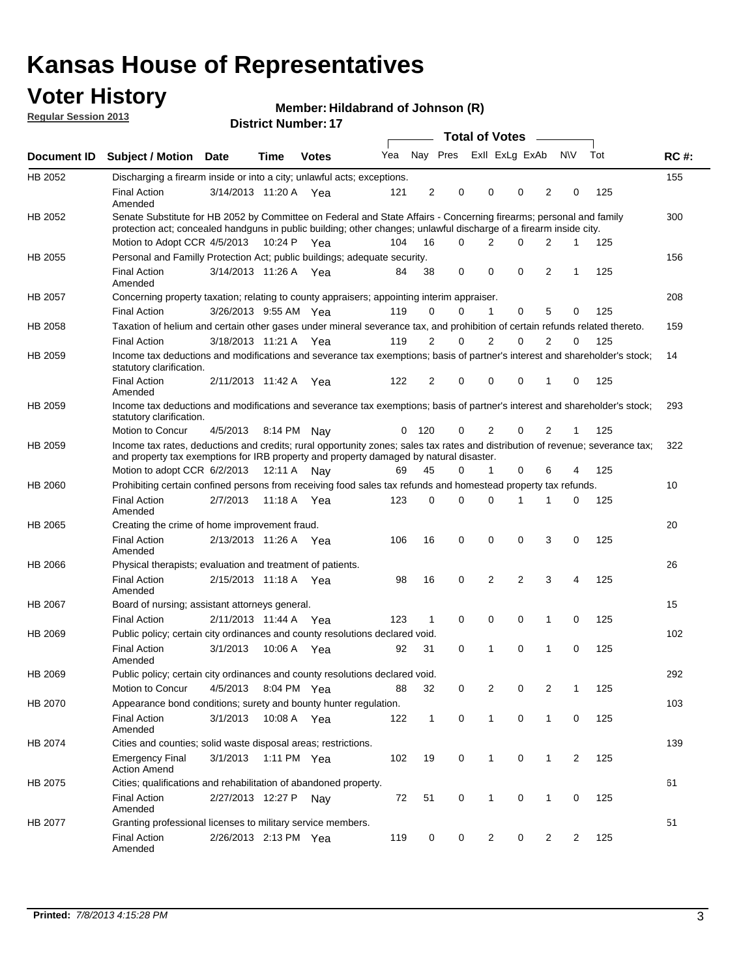## **Voter History**

**Member: Hildabrand of Johnson (R)** 

**Regular Session 2013**

|                |                                                                                                                                                                                                                                          |                       |         | <b>DISTING MULLINGE.</b> |     |                |                         | Total of Votes – |                |          |                |              |     |             |
|----------------|------------------------------------------------------------------------------------------------------------------------------------------------------------------------------------------------------------------------------------------|-----------------------|---------|--------------------------|-----|----------------|-------------------------|------------------|----------------|----------|----------------|--------------|-----|-------------|
| Document ID    | <b>Subject / Motion</b>                                                                                                                                                                                                                  | <b>Date</b>           | Time    | <b>Votes</b>             | Yea |                | Nay Pres Exll ExLg ExAb |                  |                |          |                | <b>NV</b>    | Tot | <b>RC#:</b> |
| HB 2052        | Discharging a firearm inside or into a city; unlawful acts; exceptions.                                                                                                                                                                  |                       |         |                          |     |                |                         |                  |                |          |                |              |     | 155         |
|                | <b>Final Action</b><br>Amended                                                                                                                                                                                                           | 3/14/2013 11:20 A Yea |         |                          | 121 | 2              | 0                       |                  | 0              | 0        | $\overline{2}$ | 0            | 125 |             |
| HB 2052        | Senate Substitute for HB 2052 by Committee on Federal and State Affairs - Concerning firearms; personal and family<br>protection act; concealed handguns in public building; other changes; unlawful discharge of a firearm inside city. |                       |         |                          |     |                |                         |                  |                |          |                |              |     | 300         |
|                | Motion to Adopt CCR 4/5/2013 10:24 P Yea                                                                                                                                                                                                 |                       |         |                          | 104 | 16             | 0                       |                  | 2              | 0        | 2              | 1            | 125 |             |
| HB 2055        | Personal and Familly Protection Act; public buildings; adequate security.                                                                                                                                                                |                       |         |                          |     |                |                         |                  |                |          |                |              |     | 156         |
|                | <b>Final Action</b><br>Amended                                                                                                                                                                                                           | 3/14/2013 11:26 A Yea |         |                          | 84  | 38             | 0                       |                  | 0              | 0        | $\overline{2}$ | 1            | 125 |             |
| <b>HB 2057</b> | Concerning property taxation; relating to county appraisers; appointing interim appraiser.                                                                                                                                               |                       |         |                          |     |                |                         |                  |                |          |                |              |     | 208         |
|                | <b>Final Action</b>                                                                                                                                                                                                                      | 3/26/2013 9:55 AM Yea |         |                          | 119 | 0              | 0                       |                  | 1              | 0        | 5              | 0            | 125 |             |
| HB 2058        | Taxation of helium and certain other gases under mineral severance tax, and prohibition of certain refunds related thereto.                                                                                                              |                       |         |                          |     |                |                         |                  |                |          |                |              |     | 159         |
|                | <b>Final Action</b>                                                                                                                                                                                                                      | 3/18/2013 11:21 A Yea |         |                          | 119 | 2              | 0                       |                  | 2              | 0        | 2              | 0            | 125 |             |
| HB 2059        | Income tax deductions and modifications and severance tax exemptions; basis of partner's interest and shareholder's stock;<br>statutory clarification.                                                                                   |                       |         |                          |     |                |                         |                  |                |          |                |              |     | 14          |
|                | <b>Final Action</b><br>Amended                                                                                                                                                                                                           | 2/11/2013 11:42 A     |         | Yea                      | 122 | $\overline{2}$ | 0                       |                  | 0              | 0        | 1              | 0            | 125 |             |
| HB 2059        | Income tax deductions and modifications and severance tax exemptions; basis of partner's interest and shareholder's stock;<br>statutory clarification.                                                                                   |                       |         |                          |     |                |                         |                  |                |          |                |              |     | 293         |
|                | Motion to Concur                                                                                                                                                                                                                         | 4/5/2013              |         | 8:14 PM Nav              | 0   | 120            | 0                       |                  | $\overline{2}$ | 0        | $\overline{2}$ | $\mathbf{1}$ | 125 |             |
| HB 2059        | Income tax rates, deductions and credits; rural opportunity zones; sales tax rates and distribution of revenue; severance tax;<br>and property tax exemptions for IRB property and property damaged by natural disaster.                 |                       |         |                          |     |                |                         |                  |                |          |                |              |     | 322         |
|                | Motion to adopt CCR 6/2/2013                                                                                                                                                                                                             |                       | 12:11 A | Nav                      | 69  | 45             | 0                       |                  | $\mathbf{1}$   | 0        | 6              | 4            | 125 |             |
| HB 2060        | Prohibiting certain confined persons from receiving food sales tax refunds and homestead property tax refunds.                                                                                                                           |                       |         |                          |     |                |                         |                  |                |          |                |              |     | 10          |
|                | <b>Final Action</b><br>Amended                                                                                                                                                                                                           | 2/7/2013              | 11:18 A | Yea                      | 123 | $\mathbf 0$    | 0                       |                  | 0              | 1        | 1              | 0            | 125 |             |
| HB 2065        | Creating the crime of home improvement fraud.                                                                                                                                                                                            |                       |         |                          |     |                |                         |                  |                |          |                |              |     | 20          |
|                | <b>Final Action</b><br>Amended                                                                                                                                                                                                           | 2/13/2013 11:26 A Yea |         |                          | 106 | 16             | 0                       |                  | 0              | 0        | 3              | 0            | 125 |             |
| HB 2066        | Physical therapists; evaluation and treatment of patients.                                                                                                                                                                               |                       |         |                          |     |                |                         |                  |                |          |                |              |     | 26          |
|                | <b>Final Action</b><br>Amended                                                                                                                                                                                                           | 2/15/2013 11:18 A Yea |         |                          | 98  | 16             | 0                       |                  | 2              | 2        | 3              | 4            | 125 |             |
| HB 2067        | Board of nursing; assistant attorneys general.                                                                                                                                                                                           |                       |         |                          |     |                |                         |                  |                |          |                |              |     | 15          |
|                | <b>Final Action</b>                                                                                                                                                                                                                      | 2/11/2013 11:44 A Yea |         |                          | 123 | 1              | 0                       |                  | 0              | 0        | 1              | 0            | 125 |             |
| HB 2069        | Public policy; certain city ordinances and county resolutions declared void.                                                                                                                                                             |                       |         |                          |     |                |                         |                  |                |          |                |              |     | 102         |
|                | <b>Final Action</b><br>Amended                                                                                                                                                                                                           | 3/1/2013              | 10:06 A | Yea                      | 92  | 31             | 0                       |                  | 1              | $\Omega$ | 1              | 0            | 125 |             |
| HB 2069        | Public policy; certain city ordinances and county resolutions declared void.                                                                                                                                                             |                       |         |                          |     |                |                         |                  |                |          |                |              |     | 292         |
|                | Motion to Concur                                                                                                                                                                                                                         | 4/5/2013              |         | 8:04 PM Yea              | 88  | 32             | 0                       |                  | 2              | 0        | 2              | 1            | 125 |             |
| HB 2070        | Appearance bond conditions; surety and bounty hunter regulation.                                                                                                                                                                         |                       |         |                          |     |                |                         |                  |                |          |                |              |     | 103         |
|                | <b>Final Action</b><br>Amended                                                                                                                                                                                                           | 3/1/2013              |         | 10:08 A Yea              | 122 | $\mathbf{1}$   | 0                       |                  | $\mathbf{1}$   | 0        | $\mathbf{1}$   | 0            | 125 |             |
| HB 2074        | Cities and counties; solid waste disposal areas; restrictions.                                                                                                                                                                           |                       |         |                          |     |                |                         |                  |                |          |                |              |     | 139         |
|                | <b>Emergency Final</b><br><b>Action Amend</b>                                                                                                                                                                                            | 3/1/2013              |         | 1:11 PM Yea              | 102 | 19             | 0                       |                  | 1              | 0        | 1              | 2            | 125 |             |
| HB 2075        | Cities; qualifications and rehabilitation of abandoned property.                                                                                                                                                                         |                       |         |                          |     |                |                         |                  |                |          |                |              |     | 61          |
|                | <b>Final Action</b><br>Amended                                                                                                                                                                                                           | 2/27/2013 12:27 P     |         | Nav                      | 72  | 51             | 0                       |                  | 1              | 0        | 1              | 0            | 125 |             |
| HB 2077        | Granting professional licenses to military service members.                                                                                                                                                                              |                       |         |                          |     |                |                         |                  |                |          |                |              |     | 51          |
|                | Final Action<br>Amended                                                                                                                                                                                                                  | 2/26/2013 2:13 PM Yea |         |                          | 119 | 0              | 0                       |                  | 2              | 0        | 2              | 2            | 125 |             |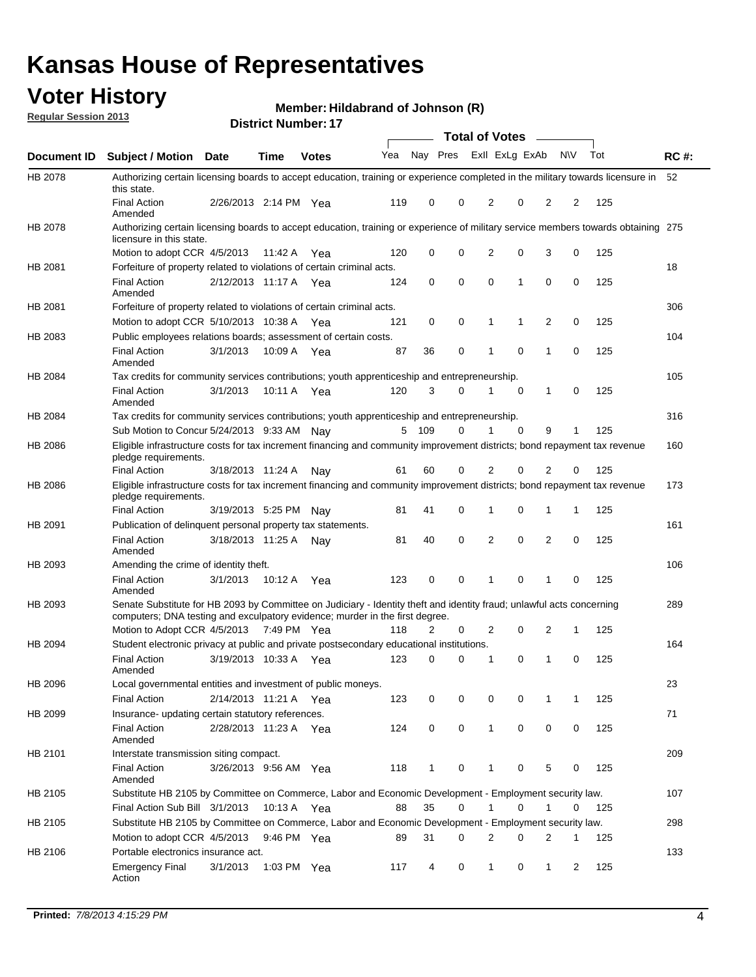## **Voter History**

**Member: Hildabrand of Johnson (R)** 

**Regular Session 2013**

|             |                                                                                                                                                                                                       |                       | <b>DISTRICT NUMBER</b> : 17 |              |     |              |          | Total of Votes – |              |              |           |     |             |
|-------------|-------------------------------------------------------------------------------------------------------------------------------------------------------------------------------------------------------|-----------------------|-----------------------------|--------------|-----|--------------|----------|------------------|--------------|--------------|-----------|-----|-------------|
| Document ID | <b>Subject / Motion</b>                                                                                                                                                                               | Date                  | Time                        | <b>Votes</b> | Yea | Nay Pres     |          | Exll ExLg ExAb   |              |              | <b>NV</b> | Tot | <b>RC#:</b> |
| HB 2078     | Authorizing certain licensing boards to accept education, training or experience completed in the military towards licensure in<br>this state.                                                        |                       |                             |              |     |              |          |                  |              |              |           |     | 52          |
|             | <b>Final Action</b><br>Amended                                                                                                                                                                        | 2/26/2013 2:14 PM     |                             | Yea          | 119 | 0            | 0        | 2                | 0            | 2            | 2         | 125 |             |
| HB 2078     | Authorizing certain licensing boards to accept education, training or experience of military service members towards obtaining 275<br>licensure in this state.                                        |                       |                             |              |     |              |          |                  |              |              |           |     |             |
|             | Motion to adopt CCR 4/5/2013                                                                                                                                                                          |                       | 11:42 A                     | Yea          | 120 | 0            | 0        | $\overline{2}$   | 0            | 3            | 0         | 125 |             |
| HB 2081     | Forfeiture of property related to violations of certain criminal acts.                                                                                                                                |                       |                             |              |     |              |          |                  |              |              |           |     | 18          |
|             | <b>Final Action</b><br>Amended                                                                                                                                                                        | 2/12/2013 11:17 A Yea |                             |              | 124 | 0            | 0        | 0                | $\mathbf{1}$ | 0            | 0         | 125 |             |
| HB 2081     | Forfeiture of property related to violations of certain criminal acts.                                                                                                                                |                       |                             |              |     |              |          |                  |              |              |           |     | 306         |
|             | Motion to adopt CCR 5/10/2013 10:38 A                                                                                                                                                                 |                       |                             | Yea          | 121 | 0            | 0        | 1                | 1            | 2            | 0         | 125 |             |
| HB 2083     | Public employees relations boards; assessment of certain costs.                                                                                                                                       |                       |                             |              |     |              |          |                  |              |              |           |     | 104         |
|             | <b>Final Action</b><br>Amended                                                                                                                                                                        | 3/1/2013              | 10:09 A                     | Yea          | 87  | 36           | 0        | 1                | $\mathbf 0$  | 1            | 0         | 125 |             |
| HB 2084     | Tax credits for community services contributions; youth apprenticeship and entrepreneurship.                                                                                                          |                       |                             |              |     |              |          |                  |              |              |           |     | 105         |
|             | <b>Final Action</b><br>Amended                                                                                                                                                                        | 3/1/2013              | 10:11 A                     | Yea          | 120 | 3            | 0        | 1                | $\mathbf 0$  | 1            | 0         | 125 |             |
| HB 2084     | Tax credits for community services contributions; youth apprenticeship and entrepreneurship.                                                                                                          |                       |                             |              |     |              |          |                  |              |              |           |     | 316         |
|             | Sub Motion to Concur 5/24/2013 9:33 AM Nay                                                                                                                                                            |                       |                             |              | 5   | 109          | 0        | 1                | $\Omega$     | 9            | 1         | 125 |             |
| HB 2086     | Eligible infrastructure costs for tax increment financing and community improvement districts; bond repayment tax revenue<br>pledge requirements.                                                     |                       |                             |              |     |              |          |                  |              |              |           |     | 160         |
|             | <b>Final Action</b>                                                                                                                                                                                   | 3/18/2013 11:24 A     |                             | Nav          | 61  | 60           | 0        | 2                | $\Omega$     | 2            | 0         | 125 |             |
| HB 2086     | Eligible infrastructure costs for tax increment financing and community improvement districts; bond repayment tax revenue<br>pledge requirements.                                                     |                       |                             |              |     |              |          |                  |              |              |           |     | 173         |
|             | <b>Final Action</b>                                                                                                                                                                                   | 3/19/2013 5:25 PM     |                             | Nav          | 81  | 41           | 0        | 1                | 0            | 1            | 1         | 125 |             |
| HB 2091     | Publication of delinquent personal property tax statements.                                                                                                                                           |                       |                             |              |     |              |          |                  |              |              |           |     | 161         |
|             | <b>Final Action</b><br>Amended                                                                                                                                                                        | 3/18/2013 11:25 A     |                             | Nav          | 81  | 40           | 0        | 2                | $\mathbf 0$  | 2            | 0         | 125 |             |
| HB 2093     | Amending the crime of identity theft.                                                                                                                                                                 |                       |                             |              |     |              |          |                  |              |              |           |     | 106         |
|             | <b>Final Action</b><br>Amended                                                                                                                                                                        | 3/1/2013              | 10:12 A                     | Yea          | 123 | 0            | 0        | 1                | 0            | 1            | 0         | 125 |             |
| HB 2093     | Senate Substitute for HB 2093 by Committee on Judiciary - Identity theft and identity fraud; unlawful acts concerning<br>computers; DNA testing and exculpatory evidence; murder in the first degree. |                       |                             |              |     |              |          |                  |              |              |           |     | 289         |
|             | Motion to Adopt CCR 4/5/2013 7:49 PM Yea                                                                                                                                                              |                       |                             |              | 118 | 2            | 0        | 2                | 0            | 2            | 1         | 125 |             |
| HB 2094     | Student electronic privacy at public and private postsecondary educational institutions.                                                                                                              |                       |                             |              |     |              |          |                  |              |              |           |     | 164         |
|             | <b>Final Action</b><br>Amended                                                                                                                                                                        | 3/19/2013 10:33 A     |                             | Yea          | 123 | 0            | $\Omega$ | 1                | 0            | 1            | 0         | 125 |             |
| HB 2096     | Local governmental entities and investment of public moneys.                                                                                                                                          |                       |                             |              |     |              |          |                  |              |              |           |     | 23          |
|             | <b>Final Action</b>                                                                                                                                                                                   | 2/14/2013 11:21 A Yea |                             |              | 123 | 0            | 0        | 0                | 0            | 1            | 1         | 125 |             |
| HB 2099     | Insurance- updating certain statutory references.                                                                                                                                                     |                       |                             |              |     |              |          |                  |              |              |           |     | 71          |
|             | <b>Final Action</b><br>Amended                                                                                                                                                                        | 2/28/2013 11:23 A Yea |                             |              | 124 | 0            | 0        | $\mathbf{1}$     | 0            | 0            | 0         | 125 |             |
| HB 2101     | Interstate transmission siting compact.                                                                                                                                                               |                       |                             |              |     |              |          |                  |              |              |           |     | 209         |
|             | <b>Final Action</b><br>Amended                                                                                                                                                                        | 3/26/2013 9:56 AM Yea |                             |              | 118 | $\mathbf{1}$ | 0        | 1                | 0            | 5            | 0         | 125 |             |
| HB 2105     | Substitute HB 2105 by Committee on Commerce, Labor and Economic Development - Employment security law.                                                                                                |                       |                             |              |     |              |          |                  |              |              |           |     | 107         |
|             | Final Action Sub Bill 3/1/2013                                                                                                                                                                        |                       | 10:13 A Yea                 |              | 88  | 35           | 0        | 1                | 0            | 1            | 0         | 125 |             |
| HB 2105     | Substitute HB 2105 by Committee on Commerce, Labor and Economic Development - Employment security law.                                                                                                |                       |                             |              |     |              |          |                  |              |              |           |     | 298         |
|             | Motion to adopt CCR 4/5/2013                                                                                                                                                                          |                       |                             |              |     | 31           | 0        | 2                | 0            | 2            | 1         |     |             |
|             |                                                                                                                                                                                                       |                       | 9:46 PM Yea                 |              | 89  |              |          |                  |              |              |           | 125 |             |
| HB 2106     | Portable electronics insurance act.                                                                                                                                                                   |                       |                             |              |     |              |          |                  |              |              |           |     | 133         |
|             | <b>Emergency Final</b><br>Action                                                                                                                                                                      | 3/1/2013              | 1:03 PM $Yea$               |              | 117 | 4            | 0        | $\mathbf{1}$     | 0            | $\mathbf{1}$ | 2         | 125 |             |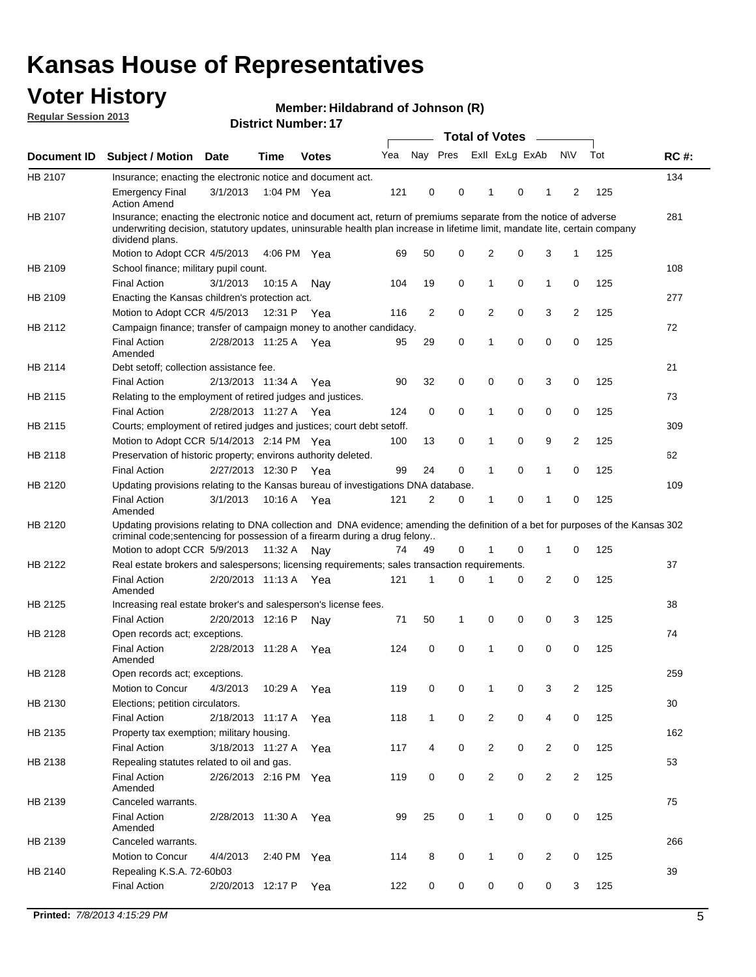## **Voter History**

**Member: Hildabrand of Johnson (R)** 

**Regular Session 2013**

|             |                                                                                                                                                                                                                                                                      |                       |         | <b>DISTRICT NUMBER</b> : 17 |     |                | Total of Votes – |                |   |              |                |     |             |
|-------------|----------------------------------------------------------------------------------------------------------------------------------------------------------------------------------------------------------------------------------------------------------------------|-----------------------|---------|-----------------------------|-----|----------------|------------------|----------------|---|--------------|----------------|-----|-------------|
| Document ID | <b>Subject / Motion</b>                                                                                                                                                                                                                                              | <b>Date</b>           | Time    | <b>Votes</b>                | Yea | Nay Pres       |                  | Exll ExLg ExAb |   |              | <b>NV</b>      | Tot | <b>RC#:</b> |
| HB 2107     | Insurance; enacting the electronic notice and document act.                                                                                                                                                                                                          |                       |         |                             |     |                |                  |                |   |              |                |     | 134         |
|             | <b>Emergency Final</b><br><b>Action Amend</b>                                                                                                                                                                                                                        | 3/1/2013              |         | 1:04 PM Yea                 | 121 | 0              | 0                | 1              | 0 | 1            | 2              | 125 |             |
| HB 2107     | Insurance; enacting the electronic notice and document act, return of premiums separate from the notice of adverse<br>underwriting decision, statutory updates, uninsurable health plan increase in lifetime limit, mandate lite, certain company<br>dividend plans. |                       |         |                             |     |                |                  |                |   |              |                |     | 281         |
|             | Motion to Adopt CCR 4/5/2013                                                                                                                                                                                                                                         |                       | 4:06 PM | Yea                         | 69  | 50             | 0                | 2              | 0 | 3            | 1              | 125 |             |
| HB 2109     | School finance; military pupil count.                                                                                                                                                                                                                                |                       |         |                             |     |                |                  |                |   |              |                |     | 108         |
|             | <b>Final Action</b>                                                                                                                                                                                                                                                  | 3/1/2013              | 10:15A  | Nav                         | 104 | 19             | 0                | 1              | 0 | 1            | 0              | 125 |             |
| HB 2109     | Enacting the Kansas children's protection act.                                                                                                                                                                                                                       |                       |         |                             |     |                |                  |                |   |              |                |     | 277         |
|             | Motion to Adopt CCR 4/5/2013                                                                                                                                                                                                                                         |                       | 12:31 P | Yea                         | 116 | $\overline{2}$ | $\mathbf 0$      | 2              | 0 | 3            | $\overline{2}$ | 125 |             |
| HB 2112     | Campaign finance; transfer of campaign money to another candidacy.                                                                                                                                                                                                   |                       |         |                             |     |                |                  |                |   |              |                |     | 72          |
|             | <b>Final Action</b><br>Amended                                                                                                                                                                                                                                       | 2/28/2013 11:25 A Yea |         |                             | 95  | 29             | 0                | 1              | 0 | 0            | 0              | 125 |             |
| HB 2114     | Debt setoff; collection assistance fee.                                                                                                                                                                                                                              |                       |         |                             |     |                |                  |                |   |              |                |     | 21          |
|             | <b>Final Action</b>                                                                                                                                                                                                                                                  | 2/13/2013 11:34 A     |         | Yea                         | 90  | 32             | 0                | 0              | 0 | 3            | 0              | 125 |             |
| HB 2115     | Relating to the employment of retired judges and justices.                                                                                                                                                                                                           |                       |         |                             |     |                |                  |                |   |              |                |     | 73          |
|             | <b>Final Action</b>                                                                                                                                                                                                                                                  | 2/28/2013 11:27 A Yea |         |                             | 124 | 0              | 0                | 1              | 0 | 0            | 0              | 125 |             |
| HB 2115     | Courts; employment of retired judges and justices; court debt setoff.                                                                                                                                                                                                |                       |         |                             |     |                |                  |                |   |              |                |     | 309         |
|             | Motion to Adopt CCR 5/14/2013 2:14 PM Yea                                                                                                                                                                                                                            |                       |         |                             | 100 | 13             | 0                | 1              | 0 | 9            | 2              | 125 |             |
| HB 2118     | Preservation of historic property; environs authority deleted.                                                                                                                                                                                                       |                       |         |                             |     |                |                  |                |   |              |                |     | 62          |
|             | <b>Final Action</b>                                                                                                                                                                                                                                                  | 2/27/2013 12:30 P Yea |         |                             | 99  | 24             | 0                | 1              | 0 | 1            | 0              | 125 |             |
| HB 2120     | Updating provisions relating to the Kansas bureau of investigations DNA database.<br><b>Final Action</b><br>Amended                                                                                                                                                  | 3/1/2013              |         | 10:16 A Yea                 | 121 | 2              | 0                | 1              | 0 | 1            | 0              | 125 | 109         |
| HB 2120     | Updating provisions relating to DNA collection and DNA evidence; amending the definition of a bet for purposes of the Kansas 302<br>criminal code; sentencing for possession of a firearm during a drug felony<br>Motion to adopt CCR 5/9/2013 11:32 A Nay           |                       |         |                             | 74  | 49             | 0                | 1              | 0 | $\mathbf{1}$ | 0              | 125 |             |
| HB 2122     | Real estate brokers and salespersons; licensing requirements; sales transaction requirements.                                                                                                                                                                        |                       |         |                             |     |                |                  |                |   |              |                |     | 37          |
|             | <b>Final Action</b><br>Amended                                                                                                                                                                                                                                       | 2/20/2013 11:13 A Yea |         |                             | 121 | 1              | 0                |                | 0 | 2            | 0              | 125 |             |
| HB 2125     | Increasing real estate broker's and salesperson's license fees.                                                                                                                                                                                                      |                       |         |                             |     |                |                  |                |   |              |                |     | 38          |
|             | <b>Final Action</b>                                                                                                                                                                                                                                                  | 2/20/2013 12:16 P     |         | Nav                         | 71  | 50             | 1                | 0              | 0 | 0            | 3              | 125 |             |
| HB 2128     | Open records act; exceptions.                                                                                                                                                                                                                                        |                       |         |                             |     |                |                  |                |   |              |                |     | 74          |
|             | <b>Final Action</b><br>Amended                                                                                                                                                                                                                                       | 2/28/2013 11:28 A     |         | Yea                         | 124 | 0              | 0                | 1              | 0 | 0            | 0              | 125 |             |
| HB 2128     | Open records act; exceptions.                                                                                                                                                                                                                                        |                       |         |                             |     |                |                  |                |   |              |                |     | 259         |
|             | Motion to Concur                                                                                                                                                                                                                                                     | 4/3/2013              | 10:29 A | Yea                         | 119 | 0              | 0                | 1              | 0 | 3            | 2              | 125 |             |
| HB 2130     | Elections; petition circulators.                                                                                                                                                                                                                                     |                       |         |                             |     |                |                  |                |   |              |                |     | 30          |
|             | Final Action                                                                                                                                                                                                                                                         | 2/18/2013 11:17 A     |         | Yea                         | 118 | $\mathbf{1}$   | 0                | $\overline{2}$ | 0 | 4            | 0              | 125 |             |
| HB 2135     | Property tax exemption; military housing.                                                                                                                                                                                                                            |                       |         |                             |     |                |                  |                |   |              |                |     | 162         |
|             | <b>Final Action</b>                                                                                                                                                                                                                                                  | 3/18/2013 11:27 A     |         | Yea                         | 117 | 4              | 0                | $\overline{c}$ | 0 | 2            | 0              | 125 |             |
| HB 2138     | Repealing statutes related to oil and gas.                                                                                                                                                                                                                           |                       |         |                             |     |                |                  |                |   |              |                |     | 53          |
|             | <b>Final Action</b><br>Amended                                                                                                                                                                                                                                       | 2/26/2013 2:16 PM Yea |         |                             | 119 | 0              | 0                | $\overline{c}$ | 0 | 2            | $\overline{2}$ | 125 |             |
| HB 2139     | Canceled warrants.                                                                                                                                                                                                                                                   |                       |         |                             |     |                |                  |                |   |              |                |     | 75          |
|             | <b>Final Action</b><br>Amended                                                                                                                                                                                                                                       | 2/28/2013 11:30 A     |         | Yea                         | 99  | 25             | 0                | $\mathbf{1}$   | 0 | 0            | 0              | 125 |             |
| HB 2139     | Canceled warrants.                                                                                                                                                                                                                                                   |                       |         |                             |     |                |                  |                |   |              |                |     | 266         |
|             | Motion to Concur                                                                                                                                                                                                                                                     | 4/4/2013              | 2:40 PM | Yea                         | 114 | 8              | 0                | 1              | 0 | 2            | 0              | 125 |             |
| HB 2140     | Repealing K.S.A. 72-60b03<br>Final Action                                                                                                                                                                                                                            | 2/20/2013 12:17 P     |         | Yea                         | 122 | 0              | 0                | 0              | 0 | 0            | 3              | 125 | 39          |
|             |                                                                                                                                                                                                                                                                      |                       |         |                             |     |                |                  |                |   |              |                |     |             |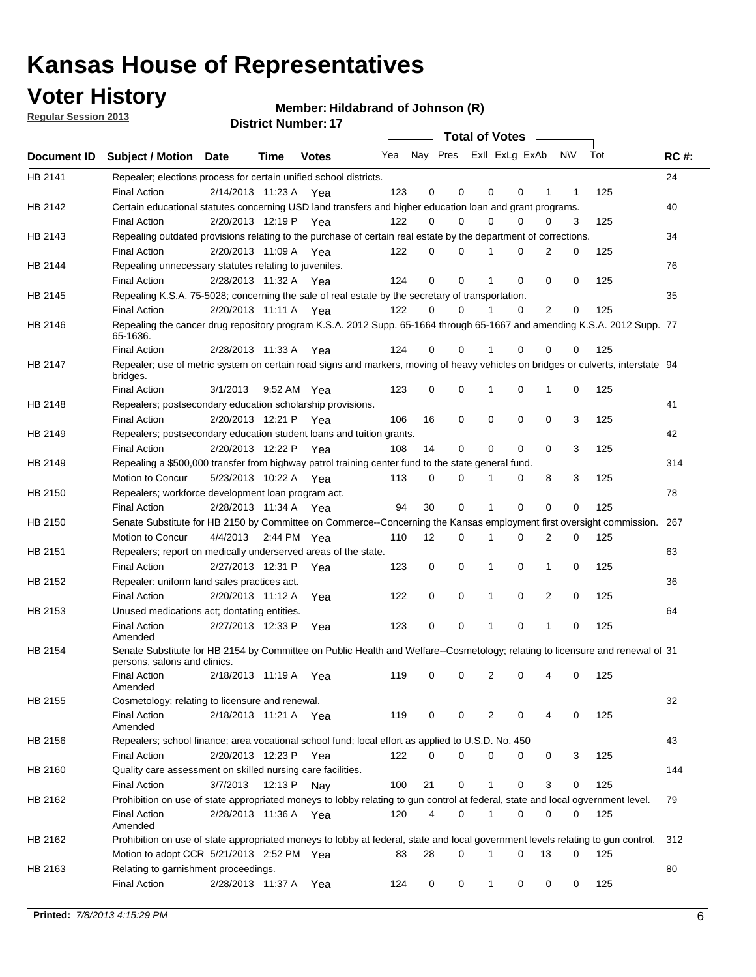## **Voter History**

**Member: Hildabrand of Johnson (R)** 

**Regular Session 2013**

|             |                                                                                                                                              |                       |             | <b>DISTRICT NUMBER:</b> 17 |     |    |          |          | Total of Votes – |                |                     |     |             |
|-------------|----------------------------------------------------------------------------------------------------------------------------------------------|-----------------------|-------------|----------------------------|-----|----|----------|----------|------------------|----------------|---------------------|-----|-------------|
| Document ID | <b>Subject / Motion</b>                                                                                                                      | <b>Date</b>           | <b>Time</b> | <b>Votes</b>               | Yea |    | Nay Pres |          | Exll ExLg ExAb   |                | <b>NV</b>           | Tot | <b>RC#:</b> |
| HB 2141     | Repealer; elections process for certain unified school districts.                                                                            |                       |             |                            |     |    |          |          |                  |                |                     |     | 24          |
|             | <b>Final Action</b>                                                                                                                          | 2/14/2013 11:23 A Yea |             |                            | 123 | 0  | 0        | 0        | 0                | 1              | 1                   | 125 |             |
| HB 2142     | Certain educational statutes concerning USD land transfers and higher education loan and grant programs.                                     |                       |             |                            |     |    |          |          |                  |                |                     |     | 40          |
|             | <b>Final Action</b>                                                                                                                          | 2/20/2013 12:19 P Yea |             |                            | 122 | 0  | 0        | $\Omega$ | 0                | 0              | 3                   | 125 |             |
| HB 2143     | Repealing outdated provisions relating to the purchase of certain real estate by the department of corrections.                              |                       |             |                            |     |    |          |          |                  |                |                     |     | 34          |
|             | <b>Final Action</b>                                                                                                                          | 2/20/2013 11:09 A Yea |             |                            | 122 | 0  | 0        | 1        | 0                | $\overline{2}$ | 0                   | 125 |             |
| HB 2144     | Repealing unnecessary statutes relating to juveniles.                                                                                        |                       |             |                            |     |    |          |          |                  |                |                     |     | 76          |
|             | <b>Final Action</b>                                                                                                                          | 2/28/2013 11:32 A Yea |             |                            | 124 | 0  | 0        | 1        | 0                | $\Omega$       | 0                   | 125 |             |
| HB 2145     | Repealing K.S.A. 75-5028; concerning the sale of real estate by the secretary of transportation.                                             |                       |             |                            |     |    |          |          |                  |                |                     |     | 35          |
|             | <b>Final Action</b>                                                                                                                          | 2/20/2013 11:11 A Yea |             |                            | 122 | 0  | 0        |          | 0                | 2              | 0                   | 125 |             |
| HB 2146     | Repealing the cancer drug repository program K.S.A. 2012 Supp. 65-1664 through 65-1667 and amending K.S.A. 2012 Supp. 77<br>65-1636.         |                       |             |                            |     |    |          |          |                  |                |                     |     |             |
|             | <b>Final Action</b>                                                                                                                          | 2/28/2013 11:33 A     |             | Yea                        | 124 | 0  | 0        |          | 0                | 0              | 0                   | 125 |             |
| HB 2147     | Repealer; use of metric system on certain road signs and markers, moving of heavy vehicles on bridges or culverts, interstate 94<br>bridges. |                       |             |                            |     |    |          |          |                  |                |                     |     |             |
|             | <b>Final Action</b>                                                                                                                          | 3/1/2013              |             | 9:52 AM Yea                | 123 | 0  | 0        |          | 0                | 1              | 0                   | 125 |             |
| HB 2148     | Repealers; postsecondary education scholarship provisions.                                                                                   |                       |             |                            |     |    |          |          |                  |                |                     |     | 41          |
|             | <b>Final Action</b>                                                                                                                          | 2/20/2013 12:21 P Yea |             |                            | 106 | 16 | 0        | 0        | 0                | 0              | 3                   | 125 |             |
| HB 2149     | Repealers; postsecondary education student loans and tuition grants.                                                                         |                       |             |                            |     |    |          |          |                  |                |                     |     | 42          |
|             | <b>Final Action</b>                                                                                                                          | 2/20/2013 12:22 P     |             | Yea                        | 108 | 14 | 0        | $\Omega$ | $\Omega$         | $\mathbf 0$    | 3                   | 125 |             |
| HB 2149     | Repealing a \$500,000 transfer from highway patrol training center fund to the state general fund.                                           |                       |             |                            |     |    |          |          |                  |                |                     |     | 314         |
|             | Motion to Concur                                                                                                                             | 5/23/2013 10:22 A Yea |             |                            | 113 | 0  | 0        | 1        | 0                | 8              | 3                   | 125 |             |
| HB 2150     | Repealers; workforce development loan program act.                                                                                           |                       |             |                            |     |    |          |          |                  |                |                     |     | 78          |
|             | <b>Final Action</b>                                                                                                                          | 2/28/2013 11:34 A Yea |             |                            | 94  | 30 | 0        | 1        | $\Omega$         | $\Omega$       | 0                   | 125 |             |
| HB 2150     | Senate Substitute for HB 2150 by Committee on Commerce--Concerning the Kansas employment first oversight commission.                         |                       |             |                            |     |    |          |          |                  |                |                     |     | 267         |
|             | Motion to Concur                                                                                                                             | 4/4/2013 2:44 PM Yea  |             |                            | 110 | 12 | 0        | 1        | 0                | 2              | 0                   | 125 |             |
| HB 2151     | Repealers; report on medically underserved areas of the state.                                                                               |                       |             |                            |     |    |          |          |                  |                |                     |     | 63          |
|             | <b>Final Action</b>                                                                                                                          | 2/27/2013 12:31 P     |             | Yea                        | 123 | 0  | 0        | 1        | 0                | 1              | 0                   | 125 |             |
| HB 2152     | Repealer: uniform land sales practices act.                                                                                                  |                       |             |                            |     |    |          |          |                  |                |                     |     | 36          |
|             | <b>Final Action</b>                                                                                                                          | 2/20/2013 11:12 A     |             | Yea                        | 122 | 0  | 0        | 1        | 0                | 2              | 0                   | 125 |             |
| HB 2153     | Unused medications act; dontating entities.                                                                                                  |                       |             |                            |     |    |          |          |                  |                |                     |     | 64          |
|             | <b>Final Action</b><br>Amended                                                                                                               | 2/27/2013 12:33 P     |             | Yea                        | 123 | 0  | 0        | 1        | 0                | 1              | 0                   | 125 |             |
| HB 2154     | Senate Substitute for HB 2154 by Committee on Public Health and Welfare--Cosmetology; relating to licensure and renewal of 31                |                       |             |                            |     |    |          |          |                  |                |                     |     |             |
|             | persons, salons and clinics.                                                                                                                 |                       |             |                            |     |    |          |          |                  |                |                     |     |             |
|             | Final Action<br>Amended                                                                                                                      | 2/18/2013 11:19 A Yea |             |                            |     |    |          |          |                  |                | 119 0 0 2 0 4 0 125 |     |             |
| HB 2155     | Cosmetology; relating to licensure and renewal.                                                                                              |                       |             |                            |     |    |          |          |                  |                |                     |     | 32          |
|             | <b>Final Action</b><br>Amended                                                                                                               | 2/18/2013 11:21 A Yea |             |                            | 119 | 0  | 0        | 2        | 0                | 4              | 0                   | 125 |             |
| HB 2156     | Repealers; school finance; area vocational school fund; local effort as applied to U.S.D. No. 450                                            |                       |             |                            |     |    |          |          |                  |                |                     |     | 43          |
|             | <b>Final Action</b>                                                                                                                          | 2/20/2013 12:23 P     |             | Yea                        | 122 | 0  | 0        | 0        | 0                | 0              | 3                   | 125 |             |
| HB 2160     | Quality care assessment on skilled nursing care facilities.                                                                                  |                       |             |                            |     |    |          |          |                  |                |                     |     | 144         |
|             | <b>Final Action</b>                                                                                                                          | 3/7/2013              | 12:13 P     | Nay                        | 100 | 21 | 0        | 1        | 0                | 3              | 0                   | 125 |             |
| HB 2162     | Prohibition on use of state appropriated moneys to lobby relating to gun control at federal, state and local ogvernment level.               |                       |             |                            |     |    |          |          |                  |                |                     |     | 79          |
|             | <b>Final Action</b><br>Amended                                                                                                               | 2/28/2013 11:36 A Yea |             |                            | 120 | 4  | 0        | 1        | 0                | 0              | 0                   | 125 |             |
| HB 2162     | Prohibition on use of state appropriated moneys to lobby at federal, state and local government levels relating to gun control.              |                       |             |                            |     |    |          |          |                  |                |                     |     | 312         |
|             | Motion to adopt CCR 5/21/2013 2:52 PM Yea                                                                                                    |                       |             |                            | 83  | 28 | 0        | 1        | 0                | 13             | 0                   | 125 |             |
| HB 2163     | Relating to garnishment proceedings.                                                                                                         |                       |             |                            |     |    |          |          |                  |                |                     |     | 80          |
|             | <b>Final Action</b>                                                                                                                          | 2/28/2013 11:37 A     |             | Yea                        | 124 | 0  | 0        | 1        | 0                | 0              | 0                   | 125 |             |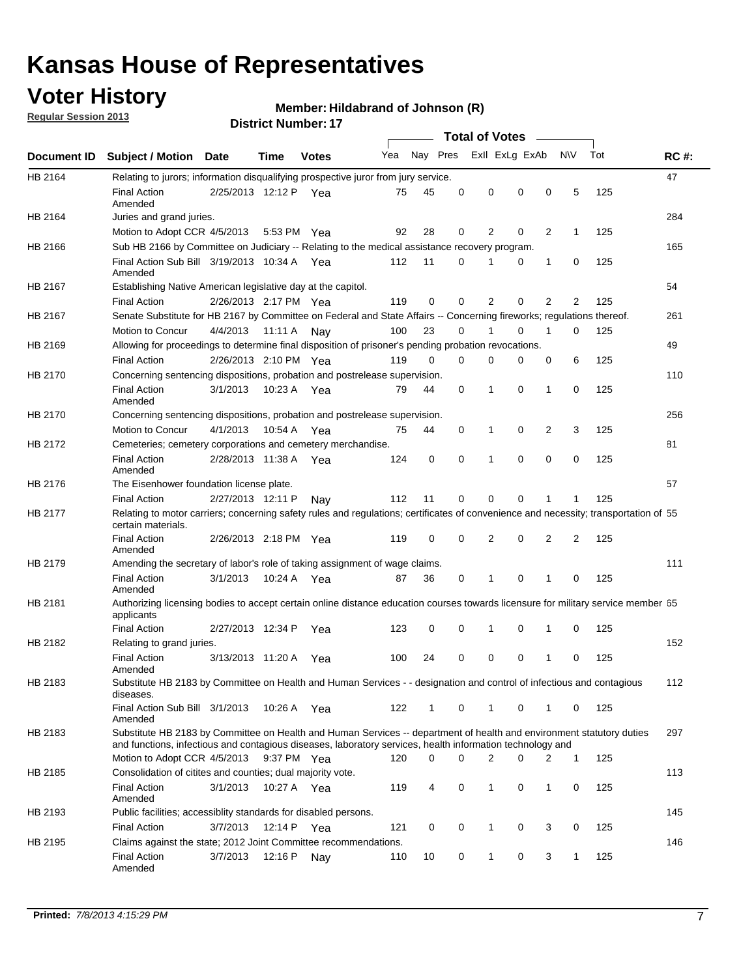## **Voter History**

**Regular Session 2013**

#### **Member: Hildabrand of Johnson (R)**

|             |                                                                                                                                                                                                                                    |                       |             |              |     |          |   | <b>Total of Votes</b> |                |                |              |     |             |
|-------------|------------------------------------------------------------------------------------------------------------------------------------------------------------------------------------------------------------------------------------|-----------------------|-------------|--------------|-----|----------|---|-----------------------|----------------|----------------|--------------|-----|-------------|
| Document ID | <b>Subject / Motion</b>                                                                                                                                                                                                            | Date                  | Time        | <b>Votes</b> | Yea | Nay Pres |   |                       | Exll ExLg ExAb |                | <b>NV</b>    | Tot | <b>RC#:</b> |
| HB 2164     | Relating to jurors; information disqualifying prospective juror from jury service.                                                                                                                                                 |                       |             |              |     |          |   |                       |                |                |              |     | 47          |
|             | <b>Final Action</b><br>Amended                                                                                                                                                                                                     | 2/25/2013 12:12 P Yea |             |              | 75  | 45       | 0 | 0                     | 0              | 0              | 5            | 125 |             |
| HB 2164     | Juries and grand juries.                                                                                                                                                                                                           |                       |             |              |     |          |   |                       |                |                |              |     | 284         |
|             | Motion to Adopt CCR 4/5/2013                                                                                                                                                                                                       |                       | 5:53 PM Yea |              | 92  | 28       | 0 | 2                     | 0              | 2              | 1            | 125 |             |
| HB 2166     | Sub HB 2166 by Committee on Judiciary -- Relating to the medical assistance recovery program.                                                                                                                                      |                       |             |              |     |          |   |                       |                |                |              |     | 165         |
|             | Final Action Sub Bill 3/19/2013 10:34 A Yea<br>Amended                                                                                                                                                                             |                       |             |              | 112 | 11       | 0 | 1                     | 0              | 1              | 0            | 125 |             |
| HB 2167     | Establishing Native American legislative day at the capitol.                                                                                                                                                                       |                       |             |              |     |          |   |                       |                |                |              |     | 54          |
|             | <b>Final Action</b>                                                                                                                                                                                                                | 2/26/2013 2:17 PM Yea |             |              | 119 | 0        | 0 | $\overline{2}$        | $\mathbf 0$    | $\overline{2}$ | 2            | 125 |             |
| HB 2167     | Senate Substitute for HB 2167 by Committee on Federal and State Affairs -- Concerning fireworks; regulations thereof.                                                                                                              |                       |             |              |     |          |   |                       |                |                |              |     | 261         |
|             | Motion to Concur                                                                                                                                                                                                                   | 4/4/2013              | 11:11 A     | Nav          | 100 | 23       | 0 |                       | $\Omega$       |                | 0            | 125 |             |
| HB 2169     | Allowing for proceedings to determine final disposition of prisoner's pending probation revocations.                                                                                                                               |                       |             |              |     |          |   |                       |                |                |              |     | 49          |
|             | <b>Final Action</b>                                                                                                                                                                                                                | 2/26/2013 2:10 PM Yea |             |              | 119 | $\Omega$ | 0 | 0                     | 0              | 0              | 6            | 125 |             |
| HB 2170     | Concerning sentencing dispositions, probation and postrelease supervision.                                                                                                                                                         |                       |             |              |     |          |   |                       |                |                |              |     | 110         |
|             | <b>Final Action</b><br>Amended                                                                                                                                                                                                     | 3/1/2013              | 10:23 A Yea |              | 79  | 44       | 0 | 1                     | $\mathbf 0$    | $\mathbf{1}$   | $\mathbf 0$  | 125 |             |
| HB 2170     | Concerning sentencing dispositions, probation and postrelease supervision.                                                                                                                                                         |                       |             |              |     |          |   |                       |                |                |              |     | 256         |
|             | Motion to Concur                                                                                                                                                                                                                   | 4/1/2013              | 10:54 A     | Yea          | 75  | 44       | 0 | 1                     | 0              | $\overline{2}$ | 3            | 125 |             |
| HB 2172     | Cemeteries; cemetery corporations and cemetery merchandise.                                                                                                                                                                        |                       |             |              |     |          |   |                       |                |                |              |     | 81          |
|             | <b>Final Action</b><br>Amended                                                                                                                                                                                                     | 2/28/2013 11:38 A     |             | Yea          | 124 | 0        | 0 | 1                     | $\mathbf 0$    | 0              | 0            | 125 |             |
| HB 2176     | The Eisenhower foundation license plate.                                                                                                                                                                                           |                       |             |              |     |          |   |                       |                |                |              |     | 57          |
|             | <b>Final Action</b>                                                                                                                                                                                                                | 2/27/2013 12:11 P     |             | Nav          | 112 | 11       | 0 | 0                     | 0              |                | 1            | 125 |             |
| HB 2177     | Relating to motor carriers; concerning safety rules and regulations; certificates of convenience and necessity; transportation of 55<br>certain materials.                                                                         |                       |             |              |     |          |   |                       |                |                |              |     |             |
|             | <b>Final Action</b><br>Amended                                                                                                                                                                                                     | 2/26/2013 2:18 PM Yea |             |              | 119 | 0        | 0 | 2                     | $\mathbf 0$    | 2              | 2            | 125 |             |
| HB 2179     | Amending the secretary of labor's role of taking assignment of wage claims.                                                                                                                                                        |                       |             |              |     |          |   |                       |                |                |              |     | 111         |
|             | <b>Final Action</b><br>Amended                                                                                                                                                                                                     | 3/1/2013              | 10:24 A Yea |              | 87  | 36       | 0 | 1                     | 0              | 1              | $\mathbf 0$  | 125 |             |
| HB 2181     | Authorizing licensing bodies to accept certain online distance education courses towards licensure for military service member 55<br>applicants                                                                                    |                       |             |              |     |          |   |                       |                |                |              |     |             |
|             | <b>Final Action</b>                                                                                                                                                                                                                | 2/27/2013 12:34 P     |             | Yea          | 123 | 0        | 0 | 1                     | 0              | 1              | 0            | 125 |             |
| HB 2182     | Relating to grand juries.                                                                                                                                                                                                          |                       |             |              |     |          |   |                       |                |                |              |     | 152         |
|             | <b>Final Action</b><br>Amended                                                                                                                                                                                                     | 3/13/2013 11:20 A     |             | Yea          | 100 | 24       | 0 | 0                     | 0              | $\mathbf 1$    | 0            | 125 |             |
| HB 2183     | Substitute HB 2183 by Committee on Health and Human Services - - designation and control of infectious and contagious<br>diseases.                                                                                                 |                       |             |              |     |          |   |                       |                |                |              |     | 112         |
|             | Final Action Sub Bill 3/1/2013<br>Amended                                                                                                                                                                                          |                       | 10:26 A Yea |              | 122 | 1        | 0 | $\mathbf{1}$          | 0              | $\mathbf{1}$   | 0            | 125 |             |
| HB 2183     | Substitute HB 2183 by Committee on Health and Human Services -- department of health and environment statutory duties<br>and functions, infectious and contagious diseases, laboratory services, health information technology and |                       |             |              |     |          |   |                       |                |                |              |     | 297         |
|             | Motion to Adopt CCR 4/5/2013                                                                                                                                                                                                       |                       | 9:37 PM Yea |              | 120 | 0        | 0 | $\overline{2}$        | 0              | 2              | 1            | 125 |             |
| HB 2185     | Consolidation of citites and counties; dual majority vote.                                                                                                                                                                         |                       |             |              |     |          |   |                       |                |                |              |     | 113         |
|             | <b>Final Action</b><br>Amended                                                                                                                                                                                                     | 3/1/2013              | 10:27 A Yea |              | 119 | 4        | 0 | 1                     | 0              | $\mathbf{1}$   | 0            | 125 |             |
| HB 2193     | Public facilities; accessiblity standards for disabled persons.                                                                                                                                                                    |                       |             |              |     |          |   |                       |                |                |              |     | 145         |
|             | <b>Final Action</b>                                                                                                                                                                                                                | 3/7/2013              | 12:14 P Yea |              | 121 | 0        | 0 | $\mathbf{1}$          | 0              | 3              | 0            | 125 |             |
| HB 2195     | Claims against the state; 2012 Joint Committee recommendations.                                                                                                                                                                    |                       |             |              |     |          |   |                       |                |                |              |     | 146         |
|             | <b>Final Action</b><br>Amended                                                                                                                                                                                                     | 3/7/2013              | 12:16 P Nay |              | 110 | 10       | 0 | $\mathbf{1}$          | 0              | 3              | $\mathbf{1}$ | 125 |             |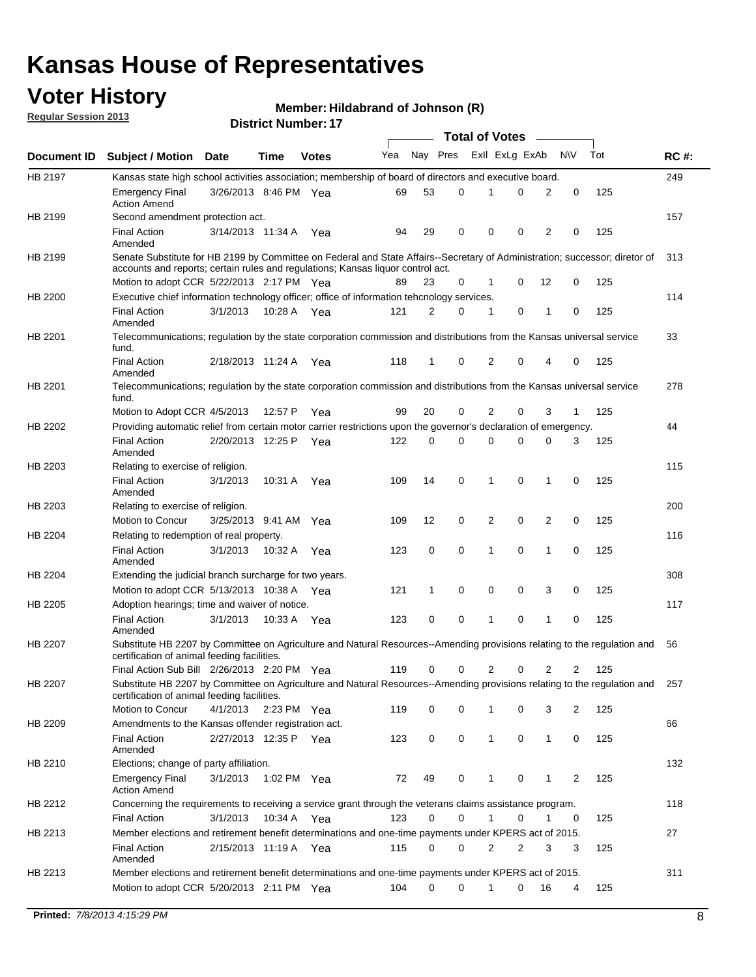## **Voter History**

**Member: Hildabrand of Johnson (R)** 

**Regular Session 2013**

|             |                                                                                                                                                                                                                |                       |             |              |     |             |          | <b>Total of Votes</b> |   |                |              |     |             |
|-------------|----------------------------------------------------------------------------------------------------------------------------------------------------------------------------------------------------------------|-----------------------|-------------|--------------|-----|-------------|----------|-----------------------|---|----------------|--------------|-----|-------------|
| Document ID | <b>Subject / Motion Date</b>                                                                                                                                                                                   |                       | Time        | <b>Votes</b> | Yea | Nay Pres    |          | Exll ExLg ExAb        |   |                | <b>NV</b>    | Tot | <b>RC#:</b> |
| HB 2197     | Kansas state high school activities association; membership of board of directors and executive board.                                                                                                         |                       |             |              |     |             |          |                       |   |                |              |     | 249         |
|             | <b>Emergency Final</b><br><b>Action Amend</b>                                                                                                                                                                  | 3/26/2013 8:46 PM Yea |             |              | 69  | 53          | 0        |                       | 0 | 2              | 0            | 125 |             |
| HB 2199     | Second amendment protection act.                                                                                                                                                                               |                       |             |              |     |             |          |                       |   |                |              |     | 157         |
|             | <b>Final Action</b><br>Amended                                                                                                                                                                                 | 3/14/2013 11:34 A     |             | Yea          | 94  | 29          | 0        | 0                     | 0 | 2              | 0            | 125 |             |
| HB 2199     | Senate Substitute for HB 2199 by Committee on Federal and State Affairs--Secretary of Administration; successor; diretor of<br>accounts and reports; certain rules and regulations; Kansas liquor control act. |                       |             |              |     |             |          |                       |   |                |              |     | 313         |
|             | Motion to adopt CCR 5/22/2013 2:17 PM Yea                                                                                                                                                                      |                       |             |              | 89  | 23          | 0        | 1                     | 0 | 12             | 0            | 125 |             |
| HB 2200     | Executive chief information technology officer; office of information tehcnology services.                                                                                                                     |                       |             |              |     |             |          |                       |   |                |              |     | 114         |
|             | <b>Final Action</b><br>Amended                                                                                                                                                                                 | 3/1/2013              | 10:28 A     | Yea          | 121 | 2           | 0        | 1                     | 0 | 1              | 0            | 125 |             |
| HB 2201     | Telecommunications; regulation by the state corporation commission and distributions from the Kansas universal service<br>fund.                                                                                |                       |             |              |     |             |          |                       |   |                |              |     | 33          |
|             | <b>Final Action</b><br>Amended                                                                                                                                                                                 | 2/18/2013 11:24 A     |             | Yea          | 118 | 1           | 0        | 2                     | 0 | 4              | 0            | 125 |             |
| HB 2201     | Telecommunications; regulation by the state corporation commission and distributions from the Kansas universal service<br>fund.                                                                                |                       |             |              |     |             |          |                       |   |                |              |     | 278         |
|             | Motion to Adopt CCR 4/5/2013                                                                                                                                                                                   |                       | 12:57 P     | Yea          | 99  | 20          | 0        | 2                     | 0 | 3              | $\mathbf{1}$ | 125 |             |
| HB 2202     | Providing automatic relief from certain motor carrier restrictions upon the governor's declaration of emergency.                                                                                               |                       |             |              |     |             |          |                       |   |                |              |     | 44          |
|             | <b>Final Action</b><br>Amended                                                                                                                                                                                 | 2/20/2013 12:25 P     |             | Yea          | 122 | 0           | 0        | 0                     | 0 | 0              | 3            | 125 |             |
| HB 2203     | Relating to exercise of religion.                                                                                                                                                                              |                       |             |              |     |             |          |                       |   |                |              |     | 115         |
|             | <b>Final Action</b><br>Amended                                                                                                                                                                                 | 3/1/2013              | 10:31 A     | Yea          | 109 | 14          | 0        | 1                     | 0 | 1              | 0            | 125 |             |
| HB 2203     | Relating to exercise of religion.                                                                                                                                                                              |                       |             |              |     |             |          |                       |   |                |              |     | 200         |
|             | Motion to Concur                                                                                                                                                                                               | 3/25/2013 9:41 AM     |             | Yea          | 109 | 12          | 0        | 2                     | 0 | 2              | 0            | 125 |             |
| HB 2204     | Relating to redemption of real property.                                                                                                                                                                       |                       |             |              |     |             |          |                       |   |                |              |     | 116         |
|             | <b>Final Action</b><br>Amended                                                                                                                                                                                 | 3/1/2013              | 10:32 A     | Yea          | 123 | $\mathbf 0$ | 0        | 1                     | 0 | 1              | 0            | 125 |             |
| HB 2204     | Extending the judicial branch surcharge for two years.                                                                                                                                                         |                       |             |              |     |             |          |                       |   |                |              |     | 308         |
|             | Motion to adopt CCR 5/13/2013 10:38 A Yea                                                                                                                                                                      |                       |             |              | 121 | 1           | 0        | 0                     | 0 | 3              | 0            | 125 |             |
| HB 2205     | Adoption hearings; time and waiver of notice.                                                                                                                                                                  |                       |             |              |     |             |          |                       |   |                |              |     | 117         |
|             | <b>Final Action</b><br>Amended                                                                                                                                                                                 | 3/1/2013              |             | 10:33 A Yea  | 123 | 0           | 0        | 1                     | 0 | 1              | 0            | 125 |             |
| HB 2207     | Substitute HB 2207 by Committee on Agriculture and Natural Resources--Amending provisions relating to the regulation and<br>certification of animal feeding facilities.                                        |                       |             |              |     |             |          |                       |   |                |              |     | 56          |
|             | Final Action Sub Bill 2/26/2013 2:20 PM Yea                                                                                                                                                                    |                       |             |              | 119 | 0           | 0        | 2                     | 0 | $\overline{2}$ | 2            | 125 |             |
| HB 2207     | Substitute HB 2207 by Committee on Agriculture and Natural Resources--Amending provisions relating to the regulation and 257<br>certification of animal feeding facilities.                                    |                       |             |              |     |             |          |                       |   |                |              |     |             |
|             | Motion to Concur                                                                                                                                                                                               | 4/1/2013              | 2:23 PM Yea |              | 119 | 0           | 0        | 1                     | 0 | 3              | 2            | 125 |             |
| HB 2209     | Amendments to the Kansas offender registration act.                                                                                                                                                            |                       |             |              |     |             |          |                       |   |                |              |     | 66          |
|             | <b>Final Action</b><br>Amended                                                                                                                                                                                 | 2/27/2013 12:35 P Yea |             |              | 123 | 0           | 0        | $\mathbf{1}$          | 0 | $\mathbf{1}$   | 0            | 125 |             |
| HB 2210     | Elections; change of party affiliation.                                                                                                                                                                        |                       |             |              |     |             |          |                       |   |                |              |     | 132         |
|             | <b>Emergency Final</b><br><b>Action Amend</b>                                                                                                                                                                  | 3/1/2013              |             | 1:02 PM Yea  | 72  | 49          | 0        |                       | 0 | 1              | 2            | 125 |             |
| HB 2212     | Concerning the requirements to receiving a service grant through the veterans claims assistance program.                                                                                                       |                       |             |              |     |             |          |                       |   |                |              |     | 118         |
|             | <b>Final Action</b>                                                                                                                                                                                            | 3/1/2013              |             | 10:34 A Yea  | 123 | 0           | 0        | $\mathbf{1}$          | 0 | 1              | 0            | 125 |             |
| HB 2213     | Member elections and retirement benefit determinations and one-time payments under KPERS act of 2015.                                                                                                          |                       |             |              |     |             |          |                       |   |                |              |     | 27          |
|             | <b>Final Action</b><br>Amended                                                                                                                                                                                 | 2/15/2013 11:19 A Yea |             |              | 115 | 0           | 0        | 2                     | 2 | 3              | 3            | 125 |             |
| HB 2213     | Member elections and retirement benefit determinations and one-time payments under KPERS act of 2015.                                                                                                          |                       |             |              | 104 | $\Omega$    | $\Omega$ | 1                     | 0 |                |              |     | 311         |
|             | Motion to adopt CCR 5/20/2013 2:11 PM Yea                                                                                                                                                                      |                       |             |              |     |             |          |                       |   | 16             | 4            | 125 |             |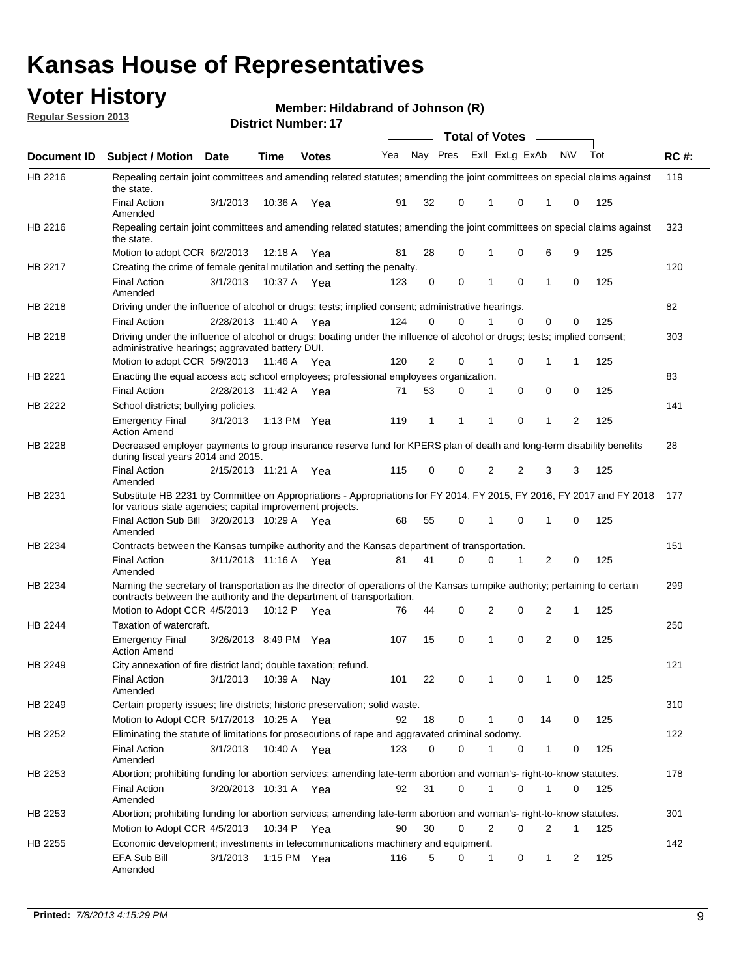## **Voter History**

**Member: Hildabrand of Johnson (R)** 

**Regular Session 2013**

|             |                                                                                                                                                                                                       |                       |         | <b>DISUIGLIVAIIIDEL.</b> 17 |     |              |                |                | Total of Votes ____     |              |           |     |             |
|-------------|-------------------------------------------------------------------------------------------------------------------------------------------------------------------------------------------------------|-----------------------|---------|-----------------------------|-----|--------------|----------------|----------------|-------------------------|--------------|-----------|-----|-------------|
| Document ID | <b>Subject / Motion</b>                                                                                                                                                                               | Date                  | Time    | <b>Votes</b>                | Yea |              |                |                | Nay Pres Exll ExLg ExAb |              | <b>NV</b> | Tot | <b>RC#:</b> |
| HB 2216     | Repealing certain joint committees and amending related statutes; amending the joint committees on special claims against<br>the state.                                                               |                       |         |                             |     |              |                |                |                         |              |           |     | 119         |
|             | <b>Final Action</b><br>Amended                                                                                                                                                                        | 3/1/2013              | 10:36 A | Yea                         | 91  | 32           | 0              | 1              | 0                       | 1            | 0         | 125 |             |
| HB 2216     | Repealing certain joint committees and amending related statutes; amending the joint committees on special claims against<br>the state.                                                               |                       |         |                             |     |              |                |                |                         |              |           |     | 323         |
|             | Motion to adopt CCR 6/2/2013                                                                                                                                                                          |                       |         | 12:18 A Yea                 | 81  | 28           | 0              | 1              | 0                       | 6            | 9         | 125 |             |
| HB 2217     | Creating the crime of female genital mutilation and setting the penalty.                                                                                                                              |                       |         |                             |     |              |                |                |                         |              |           |     | 120         |
|             | <b>Final Action</b><br>Amended                                                                                                                                                                        | 3/1/2013              |         | 10:37 A Yea                 | 123 | 0            | 0              | 1              | 0                       | $\mathbf{1}$ | 0         | 125 |             |
| HB 2218     | Driving under the influence of alcohol or drugs; tests; implied consent; administrative hearings.                                                                                                     |                       |         |                             |     |              |                |                |                         |              |           |     | 82          |
|             | <b>Final Action</b>                                                                                                                                                                                   | 2/28/2013 11:40 A Yea |         |                             | 124 | $\mathbf 0$  | 0              | 1              | 0                       | 0            | 0         | 125 |             |
| HB 2218     | Driving under the influence of alcohol or drugs; boating under the influence of alcohol or drugs; tests; implied consent;<br>administrative hearings; aggravated battery DUI.                         |                       |         |                             |     |              |                |                |                         |              |           |     | 303         |
|             | Motion to adopt CCR 5/9/2013                                                                                                                                                                          |                       | 11:46 A | Yea                         | 120 | 2            | 0              | 1              | 0                       | $\mathbf 1$  | 1         | 125 |             |
| HB 2221     | Enacting the equal access act; school employees; professional employees organization.                                                                                                                 |                       |         |                             |     |              |                |                |                         |              |           |     | 83          |
|             | <b>Final Action</b>                                                                                                                                                                                   | 2/28/2013 11:42 A Yea |         |                             | 71  | 53           | 0              | 1              | 0                       | 0            | 0         | 125 |             |
| HB 2222     | School districts; bullying policies.<br><b>Emergency Final</b>                                                                                                                                        | 3/1/2013              |         | 1:13 PM Yea                 | 119 | $\mathbf{1}$ | 1              | 1              | 0                       | 1            | 2         | 125 | 141         |
|             | <b>Action Amend</b>                                                                                                                                                                                   |                       |         |                             |     |              |                |                |                         |              |           |     |             |
| HB 2228     | Decreased employer payments to group insurance reserve fund for KPERS plan of death and long-term disability benefits<br>during fiscal years 2014 and 2015.                                           |                       |         |                             |     |              |                |                |                         |              |           |     | 28          |
|             | <b>Final Action</b><br>Amended                                                                                                                                                                        | 2/15/2013 11:21 A Yea |         |                             | 115 | 0            | 0              | $\overline{2}$ | $\overline{2}$          | 3            | 3         | 125 |             |
| HB 2231     | Substitute HB 2231 by Committee on Appropriations - Appropriations for FY 2014, FY 2015, FY 2016, FY 2017 and FY 2018<br>for various state agencies; capital improvement projects.                    |                       |         |                             |     |              |                |                |                         |              |           |     | 177         |
|             | Final Action Sub Bill 3/20/2013 10:29 A<br>Amended                                                                                                                                                    |                       |         | Yea                         | 68  | 55           | 0              | 1              | 0                       | 1            | 0         | 125 |             |
| HB 2234     | Contracts between the Kansas turnpike authority and the Kansas department of transportation.                                                                                                          |                       |         |                             |     |              |                |                |                         |              |           |     | 151         |
|             | <b>Final Action</b><br>Amended                                                                                                                                                                        | 3/11/2013 11:16 A Yea |         |                             | 81  | 41           | $\Omega$       | $\Omega$       | 1                       | 2            | 0         | 125 |             |
| HB 2234     | Naming the secretary of transportation as the director of operations of the Kansas turnpike authority; pertaining to certain<br>contracts between the authority and the department of transportation. |                       |         |                             |     |              |                |                |                         |              |           |     | 299         |
|             | Motion to Adopt CCR 4/5/2013                                                                                                                                                                          |                       | 10:12 P | Yea                         | 76  | 44           | 0              | $\overline{2}$ | 0                       | 2            | 1         | 125 |             |
| HB 2244     | Taxation of watercraft.<br><b>Emergency Final</b>                                                                                                                                                     | 3/26/2013 8:49 PM Yea |         |                             | 107 | 15           | 0              | 1              | 0                       | 2            | 0         | 125 | 250         |
|             | <b>Action Amend</b>                                                                                                                                                                                   |                       |         |                             |     |              |                |                |                         |              |           |     |             |
| HB 2249     | City annexation of fire district land; double taxation; refund.                                                                                                                                       |                       |         |                             |     |              |                |                |                         |              |           |     | 121         |
|             | Final Action 3/1/2013 10:39 A Nay<br>Amended                                                                                                                                                          |                       |         |                             | 101 | 22           | $\overline{0}$ |                | 0                       |              |           | 125 |             |
| HB 2249     | Certain property issues; fire districts; historic preservation; solid waste.                                                                                                                          |                       |         |                             |     |              |                |                |                         |              |           |     | 310         |
|             | Motion to Adopt CCR 5/17/2013 10:25 A Yea                                                                                                                                                             |                       |         |                             | 92  | 18           | 0              | 1              | 0                       | 14           | 0         | 125 |             |
| HB 2252     | Eliminating the statute of limitations for prosecutions of rape and aggravated criminal sodomy.                                                                                                       |                       |         |                             |     |              |                |                |                         |              |           |     | 122         |
|             | <b>Final Action</b><br>Amended                                                                                                                                                                        | 3/1/2013              |         | 10:40 A Yea                 | 123 | 0            | $\Omega$       | 1              | 0                       | 1            | 0         | 125 |             |
| HB 2253     | Abortion; prohibiting funding for abortion services; amending late-term abortion and woman's- right-to-know statutes.                                                                                 |                       |         |                             |     |              |                |                |                         |              |           |     | 178         |
|             | <b>Final Action</b><br>Amended                                                                                                                                                                        | 3/20/2013 10:31 A Yea |         |                             | 92  | 31           | 0              | 1              | 0                       | 1            | 0         | 125 |             |
| HB 2253     | Abortion; prohibiting funding for abortion services; amending late-term abortion and woman's- right-to-know statutes.                                                                                 |                       |         |                             |     |              |                |                |                         |              |           |     | 301         |
|             | Motion to Adopt CCR 4/5/2013                                                                                                                                                                          |                       |         | 10:34 P Yea                 | 90  | 30           | 0              | 2              | 0                       | 2            | 1         | 125 |             |
| HB 2255     | Economic development; investments in telecommunications machinery and equipment.                                                                                                                      |                       |         |                             |     |              |                |                |                         |              |           |     | 142         |
|             | EFA Sub Bill<br>Amended                                                                                                                                                                               | 3/1/2013              |         | 1:15 PM Yea                 | 116 | 5            | 0              | 1              | 0                       | 1            | 2         | 125 |             |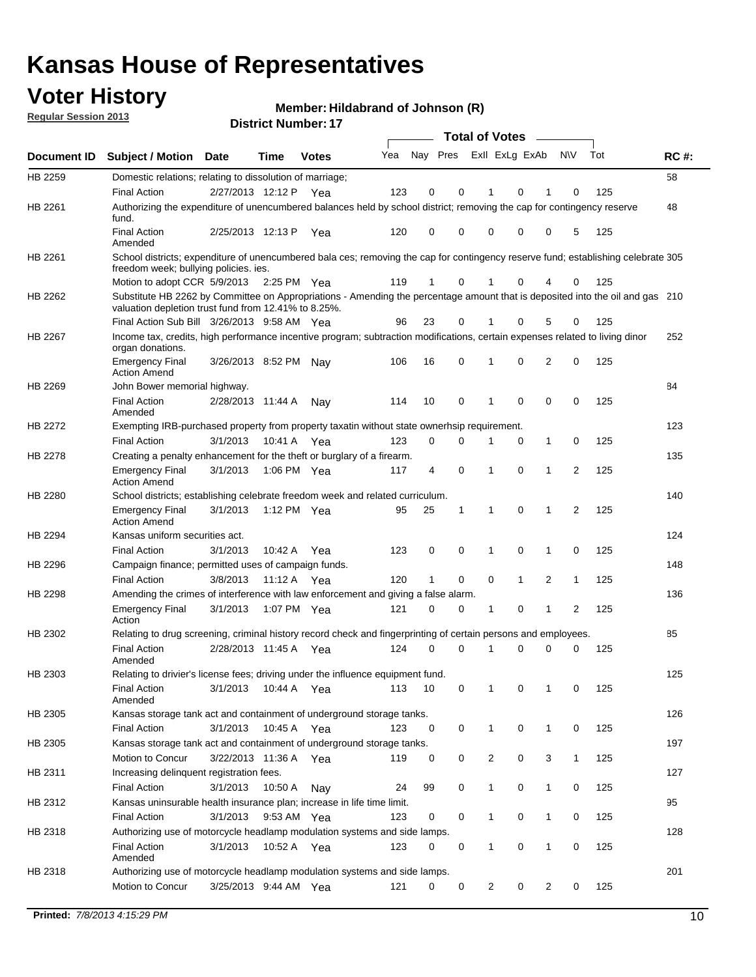## **Voter History**

**Member: Hildabrand of Johnson (R)** 

**Regular Session 2013**

|             |                                                                                                                                                                                       |                       |             | <b>DISTRICT NUMBER:</b> 17 |     |              |          | <b>Total of Votes</b> |                |                | $\sim$       |              |     |             |
|-------------|---------------------------------------------------------------------------------------------------------------------------------------------------------------------------------------|-----------------------|-------------|----------------------------|-----|--------------|----------|-----------------------|----------------|----------------|--------------|--------------|-----|-------------|
| Document ID | <b>Subject / Motion</b>                                                                                                                                                               | Date                  | Time        | <b>Votes</b>               | Yea | Nay Pres     |          |                       |                | Exll ExLg ExAb |              | <b>NV</b>    | Tot | <b>RC#:</b> |
| HB 2259     | Domestic relations; relating to dissolution of marriage;                                                                                                                              |                       |             |                            |     |              |          |                       |                |                |              |              |     | 58          |
|             | <b>Final Action</b>                                                                                                                                                                   | 2/27/2013 12:12 P     |             | Yea                        | 123 | 0            | 0        |                       |                | 0              | 1            | 0            | 125 |             |
| HB 2261     | Authorizing the expenditure of unencumbered balances held by school district; removing the cap for contingency reserve<br>fund.                                                       |                       |             |                            |     |              |          |                       |                |                |              |              |     | 48          |
|             | <b>Final Action</b><br>Amended                                                                                                                                                        | 2/25/2013 12:13 P     |             | Yea                        | 120 | 0            | 0        |                       | 0              | 0              | 0            | 5            | 125 |             |
| HB 2261     | School districts; expenditure of unencumbered bala ces; removing the cap for contingency reserve fund; establishing celebrate 305<br>freedom week; bullying policies, ies.            |                       |             |                            |     |              |          |                       |                |                |              |              |     |             |
|             | Motion to adopt CCR 5/9/2013 2:25 PM Yea                                                                                                                                              |                       |             |                            | 119 | 1            | 0        |                       |                | 0              | 4            | 0            | 125 |             |
| HB 2262     | Substitute HB 2262 by Committee on Appropriations - Amending the percentage amount that is deposited into the oil and gas 210<br>valuation depletion trust fund from 12.41% to 8.25%. |                       |             |                            |     |              |          |                       |                |                |              |              |     |             |
|             | Final Action Sub Bill 3/26/2013 9:58 AM Yea                                                                                                                                           |                       |             |                            | 96  | 23           | 0        |                       | 1              | 0              | 5            | 0            | 125 |             |
| HB 2267     | Income tax, credits, high performance incentive program; subtraction modifications, certain expenses related to living dinor<br>organ donations.                                      |                       |             |                            |     |              |          |                       |                |                |              |              |     | 252         |
|             | <b>Emergency Final</b><br><b>Action Amend</b>                                                                                                                                         | 3/26/2013 8:52 PM     |             | Nay                        | 106 | 16           | 0        |                       | 1              | 0              | 2            | 0            | 125 |             |
| HB 2269     | John Bower memorial highway.                                                                                                                                                          |                       |             |                            |     |              |          |                       |                |                |              |              |     | 84          |
|             | <b>Final Action</b><br>Amended                                                                                                                                                        | 2/28/2013 11:44 A     |             | Nay                        | 114 | 10           | 0        |                       | 1              | 0              | 0            | 0            | 125 |             |
| HB 2272     | Exempting IRB-purchased property from property taxatin without state ownerhsip requirement.                                                                                           |                       |             |                            |     |              |          |                       |                |                |              |              |     | 123         |
|             | <b>Final Action</b>                                                                                                                                                                   | 3/1/2013              | 10:41 A Yea |                            | 123 | 0            | 0        |                       | 1              | 0              | $\mathbf{1}$ | 0            | 125 |             |
| HB 2278     | Creating a penalty enhancement for the theft or burglary of a firearm.                                                                                                                |                       |             |                            |     |              |          |                       |                |                |              |              |     | 135         |
|             | <b>Emergency Final</b><br><b>Action Amend</b>                                                                                                                                         | 3/1/2013              |             | 1:06 PM Yea                | 117 | 4            | $\Omega$ |                       | 1              | $\Omega$       | 1            | 2            | 125 |             |
| HB 2280     | School districts; establishing celebrate freedom week and related curriculum.                                                                                                         |                       |             |                            |     |              |          |                       |                |                |              |              |     | 140         |
|             | <b>Emergency Final</b><br><b>Action Amend</b>                                                                                                                                         | 3/1/2013              |             | 1:12 PM Yea                | 95  | 25           | 1        |                       | 1              | 0              | 1            | 2            | 125 |             |
| HB 2294     | Kansas uniform securities act.                                                                                                                                                        |                       |             |                            |     |              |          |                       |                |                |              |              |     | 124         |
|             | <b>Final Action</b>                                                                                                                                                                   | 3/1/2013              | 10:42 A     | Yea                        | 123 | 0            | 0        |                       | 1              | 0              | 1            | 0            | 125 |             |
| HB 2296     | Campaign finance; permitted uses of campaign funds.                                                                                                                                   |                       |             |                            |     |              |          |                       |                |                |              |              |     | 148         |
|             | <b>Final Action</b>                                                                                                                                                                   | 3/8/2013              | 11:12A      | Yea                        | 120 | $\mathbf{1}$ | 0        |                       | 0              | $\mathbf{1}$   | 2            | 1            | 125 |             |
| HB 2298     | Amending the crimes of interference with law enforcement and giving a false alarm.                                                                                                    |                       |             |                            |     |              |          |                       |                |                |              |              |     | 136         |
|             | <b>Emergency Final</b><br>Action                                                                                                                                                      | 3/1/2013              |             | 1:07 PM Yea                | 121 | 0            | 0        |                       | 1              | 0              | 1            | 2            | 125 |             |
| HB 2302     | Relating to drug screening, criminal history record check and fingerprinting of certain persons and employees.                                                                        |                       |             |                            |     |              |          |                       |                |                |              |              |     | 85          |
|             | Final Action<br>Amended                                                                                                                                                               | 2/28/2013 11:45 A     |             | Yea                        | 124 | $\Omega$     | $\Omega$ |                       |                | 0              | $\Omega$     | 0            | 125 |             |
| HB 2303     | Relating to drivier's license fees; driving under the influence equipment fund.                                                                                                       |                       |             |                            |     |              |          |                       |                |                |              |              |     | 125         |
|             | <b>Final Action</b><br>Amended                                                                                                                                                        | 3/1/2013              | 10:44 A Yea |                            | 113 | 10           | 0        |                       |                | 0              | 1            | 0            | 125 |             |
| HB 2305     | Kansas storage tank act and containment of underground storage tanks.                                                                                                                 |                       |             |                            |     |              |          |                       |                |                |              |              |     | 126         |
|             | <b>Final Action</b>                                                                                                                                                                   | 3/1/2013              | 10:45 A     | Yea                        | 123 | 0            | 0        |                       | 1              | 0              | 1            | 0            | 125 |             |
| HB 2305     | Kansas storage tank act and containment of underground storage tanks.                                                                                                                 |                       |             |                            |     |              |          |                       |                |                |              |              |     | 197         |
|             | Motion to Concur                                                                                                                                                                      | 3/22/2013 11:36 A     |             | Yea                        | 119 | 0            | 0        |                       | $\overline{c}$ | 0              | 3            | $\mathbf{1}$ | 125 |             |
| HB 2311     | Increasing delinquent registration fees.                                                                                                                                              |                       |             |                            |     |              |          |                       |                |                |              |              |     | 127         |
|             | <b>Final Action</b>                                                                                                                                                                   | 3/1/2013              | 10:50 A     | Nay                        | 24  | 99           | 0        |                       | 1              | 0              | $\mathbf{1}$ | 0            | 125 |             |
| HB 2312     | Kansas uninsurable health insurance plan; increase in life time limit.                                                                                                                |                       |             |                            |     |              |          |                       |                |                |              |              |     | 95          |
|             | <b>Final Action</b>                                                                                                                                                                   | 3/1/2013              |             | 9:53 AM Yea                | 123 | 0            | 0        |                       | 1              | 0              | 1            | 0            | 125 |             |
| HB 2318     | Authorizing use of motorcycle headlamp modulation systems and side lamps.                                                                                                             |                       |             |                            |     |              |          |                       |                |                |              |              |     | 128         |
|             | Final Action<br>Amended                                                                                                                                                               | 3/1/2013              |             | 10:52 A Yea                | 123 | 0            | 0        |                       | 1              | 0              | 1            | 0            | 125 |             |
| HB 2318     | Authorizing use of motorcycle headlamp modulation systems and side lamps.                                                                                                             |                       |             |                            |     |              |          |                       |                |                |              |              |     | 201         |
|             | Motion to Concur                                                                                                                                                                      | 3/25/2013 9:44 AM Yea |             |                            | 121 | 0            | 0        |                       | 2              | 0              | 2            | 0            | 125 |             |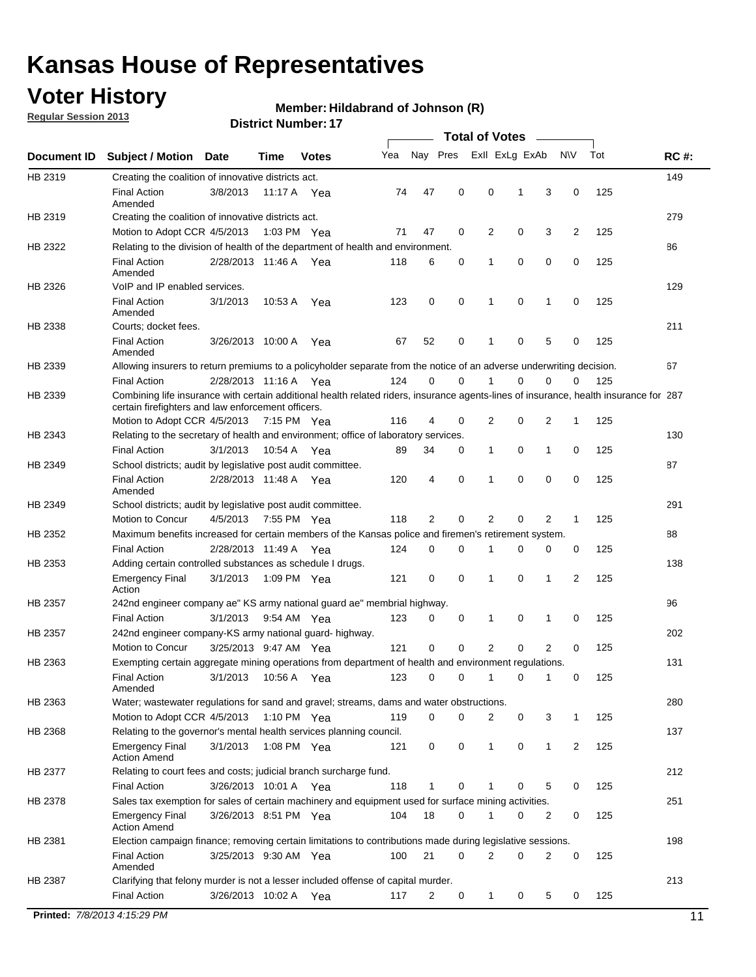## **Voter History**

**Regular Session 2013**

#### **Member: Hildabrand of Johnson (R)**

|                    |                                                                                                                                                                                             |                       | <b>DISTICL NUTTING</b> . 17 |              |     |                 | Total of Votes _____ |                |   |                |                |     |             |
|--------------------|---------------------------------------------------------------------------------------------------------------------------------------------------------------------------------------------|-----------------------|-----------------------------|--------------|-----|-----------------|----------------------|----------------|---|----------------|----------------|-----|-------------|
| <b>Document ID</b> | <b>Subject / Motion</b>                                                                                                                                                                     | Date                  | <b>Time</b>                 | <b>Votes</b> | Yea | Nay Pres        |                      | Exll ExLg ExAb |   |                | N\V            | Tot | <b>RC#:</b> |
| HB 2319            | Creating the coalition of innovative districts act.                                                                                                                                         |                       |                             |              |     |                 |                      |                |   |                |                |     | 149         |
|                    | <b>Final Action</b><br>Amended                                                                                                                                                              | 3/8/2013              | 11:17 A Yea                 |              | 74  | 47              | 0                    | 0              | 1 | 3              | 0              | 125 |             |
| HB 2319            | Creating the coalition of innovative districts act.                                                                                                                                         |                       |                             |              |     |                 |                      |                |   |                |                |     | 279         |
|                    | Motion to Adopt CCR 4/5/2013                                                                                                                                                                |                       | 1:03 PM Yea                 |              | 71  | 47              | 0                    | 2              | 0 | 3              | $\overline{2}$ | 125 |             |
| HB 2322            | Relating to the division of health of the department of health and environment.                                                                                                             |                       |                             |              |     |                 |                      |                |   |                |                |     | 86          |
|                    | <b>Final Action</b><br>Amended                                                                                                                                                              | 2/28/2013 11:46 A Yea |                             |              | 118 | 6               | 0                    | 1              | 0 | 0              | 0              | 125 |             |
| HB 2326            | VoIP and IP enabled services.                                                                                                                                                               |                       |                             |              |     |                 |                      |                |   |                |                |     | 129         |
|                    | <b>Final Action</b><br>Amended                                                                                                                                                              | 3/1/2013              | 10:53 A                     | Yea          | 123 | $\mathbf 0$     | 0                    | 1              | 0 | 1              | 0              | 125 |             |
| HB 2338            | Courts; docket fees.                                                                                                                                                                        |                       |                             |              |     |                 |                      |                |   |                |                |     | 211         |
|                    | <b>Final Action</b><br>Amended                                                                                                                                                              | 3/26/2013 10:00 A     |                             | Yea          | 67  | 52              | 0                    | $\mathbf{1}$   | 0 | 5              | 0              | 125 |             |
| HB 2339            | Allowing insurers to return premiums to a policyholder separate from the notice of an adverse underwriting decision.                                                                        |                       |                             |              |     |                 |                      |                |   |                |                |     | 67          |
|                    | <b>Final Action</b>                                                                                                                                                                         | 2/28/2013 11:16 A Yea |                             |              | 124 | 0               | 0                    | 1              | 0 | 0              | 0              | 125 |             |
| HB 2339            | Combining life insurance with certain additional health related riders, insurance agents-lines of insurance, health insurance for 287<br>certain firefighters and law enforcement officers. |                       |                             |              |     |                 |                      |                |   |                |                |     |             |
|                    | Motion to Adopt CCR 4/5/2013 7:15 PM Yea                                                                                                                                                    |                       |                             |              | 116 | 4               | 0                    | $\overline{2}$ | 0 | 2              | 1              | 125 |             |
| HB 2343            | Relating to the secretary of health and environment; office of laboratory services.                                                                                                         |                       |                             |              |     |                 |                      |                |   |                |                |     | 130         |
|                    | <b>Final Action</b>                                                                                                                                                                         | 3/1/2013              | 10:54 A                     | Yea          | 89  | 34              | 0                    | $\mathbf{1}$   | 0 | 1              | 0              | 125 |             |
| HB 2349            | School districts; audit by legislative post audit committee.                                                                                                                                |                       |                             |              |     |                 |                      |                |   |                |                |     | 87          |
|                    | <b>Final Action</b><br>Amended                                                                                                                                                              | 2/28/2013 11:48 A Yea |                             |              | 120 | 4               | 0                    | 1              | 0 | 0              | 0              | 125 |             |
| HB 2349            | School districts; audit by legislative post audit committee.                                                                                                                                |                       |                             |              |     |                 |                      |                |   |                |                |     | 291         |
|                    | Motion to Concur                                                                                                                                                                            | 4/5/2013              | 7:55 PM Yea                 |              | 118 | 2               | 0                    | 2              | 0 | 2              | 1              | 125 |             |
| HB 2352            | Maximum benefits increased for certain members of the Kansas police and firemen's retirement system.                                                                                        |                       |                             |              |     |                 |                      |                |   |                |                |     | 88          |
|                    | <b>Final Action</b>                                                                                                                                                                         | 2/28/2013 11:49 A Yea |                             |              | 124 | 0               | 0                    | 1              | 0 | 0              | 0              | 125 |             |
| HB 2353            | Adding certain controlled substances as schedule I drugs.                                                                                                                                   |                       |                             |              |     |                 |                      |                |   |                |                |     | 138         |
|                    | <b>Emergency Final</b><br>Action                                                                                                                                                            | 3/1/2013              | 1:09 PM Yea                 |              | 121 | 0               | 0                    | $\mathbf{1}$   | 0 | 1              | 2              | 125 |             |
| HB 2357            | 242nd engineer company ae" KS army national guard ae" membrial highway.                                                                                                                     |                       |                             |              |     |                 |                      |                |   |                |                |     | 96          |
|                    | <b>Final Action</b>                                                                                                                                                                         | 3/1/2013 9:54 AM Yea  |                             |              | 123 | 0               | 0                    | $\mathbf{1}$   | 0 | $\mathbf 1$    | 0              | 125 |             |
| HB 2357            | 242nd engineer company-KS army national guard- highway.                                                                                                                                     |                       |                             |              |     |                 |                      |                |   |                |                |     | 202         |
|                    | Motion to Concur                                                                                                                                                                            | 3/25/2013 9:47 AM Yea |                             |              | 121 | $\mathbf 0$     | $\mathbf 0$          | $\overline{2}$ | 0 | $\overline{2}$ | 0              | 125 |             |
| HB 2363            | Exempting certain aggregate mining operations from department of health and environment regulations.                                                                                        |                       |                             |              |     |                 |                      |                |   |                |                |     | 131         |
|                    | Final Action 3/1/2013 10:56 A Yea<br>Amended                                                                                                                                                |                       |                             |              |     | 123 0 0 1 0 1 0 |                      |                |   |                |                | 125 |             |
| HB 2363            | Water; wastewater regulations for sand and gravel; streams, dams and water obstructions.                                                                                                    |                       |                             |              |     |                 |                      |                |   |                |                |     | 280         |
|                    | Motion to Adopt CCR 4/5/2013 1:10 PM Yea                                                                                                                                                    |                       |                             |              | 119 | 0               | 0                    | 2              | 0 | 3              | 1              | 125 |             |
| HB 2368            | Relating to the governor's mental health services planning council.                                                                                                                         |                       |                             |              |     |                 |                      |                |   |                |                |     | 137         |
|                    | <b>Emergency Final</b><br><b>Action Amend</b>                                                                                                                                               | 3/1/2013              | 1:08 PM Yea                 |              | 121 | 0               | 0                    | $\mathbf{1}$   | 0 | 1              | $\overline{2}$ | 125 |             |
| HB 2377            | Relating to court fees and costs; judicial branch surcharge fund.                                                                                                                           |                       |                             |              |     |                 |                      |                |   |                |                |     | 212         |
|                    | <b>Final Action</b>                                                                                                                                                                         | 3/26/2013 10:01 A Yea |                             |              | 118 |                 | 0                    |                | 0 | 5              | 0              | 125 |             |
| HB 2378            | Sales tax exemption for sales of certain machinery and equipment used for surface mining activities.                                                                                        |                       |                             |              |     |                 |                      |                |   |                |                |     | 251         |
|                    | <b>Emergency Final</b><br><b>Action Amend</b>                                                                                                                                               | 3/26/2013 8:51 PM Yea |                             |              | 104 | 18              | 0                    | 1              | 0 | 2              | 0              | 125 |             |
| HB 2381            | Election campaign finance; removing certain limitations to contributions made during legislative sessions.                                                                                  |                       |                             |              |     |                 |                      |                |   |                |                |     | 198         |
|                    | <b>Final Action</b>                                                                                                                                                                         | 3/25/2013 9:30 AM Yea |                             |              | 100 | 21              | 0                    | 2              | 0 | 2              | 0              | 125 |             |
|                    | Amended                                                                                                                                                                                     |                       |                             |              |     |                 |                      |                |   |                |                |     |             |
| HB 2387            | Clarifying that felony murder is not a lesser included offense of capital murder.                                                                                                           |                       |                             |              |     |                 |                      |                |   |                |                |     | 213         |
|                    | <b>Final Action</b>                                                                                                                                                                         | 3/26/2013 10:02 A Yea |                             |              | 117 | 2               | 0                    | $\mathbf{1}$   | 0 | 5              | 0              | 125 |             |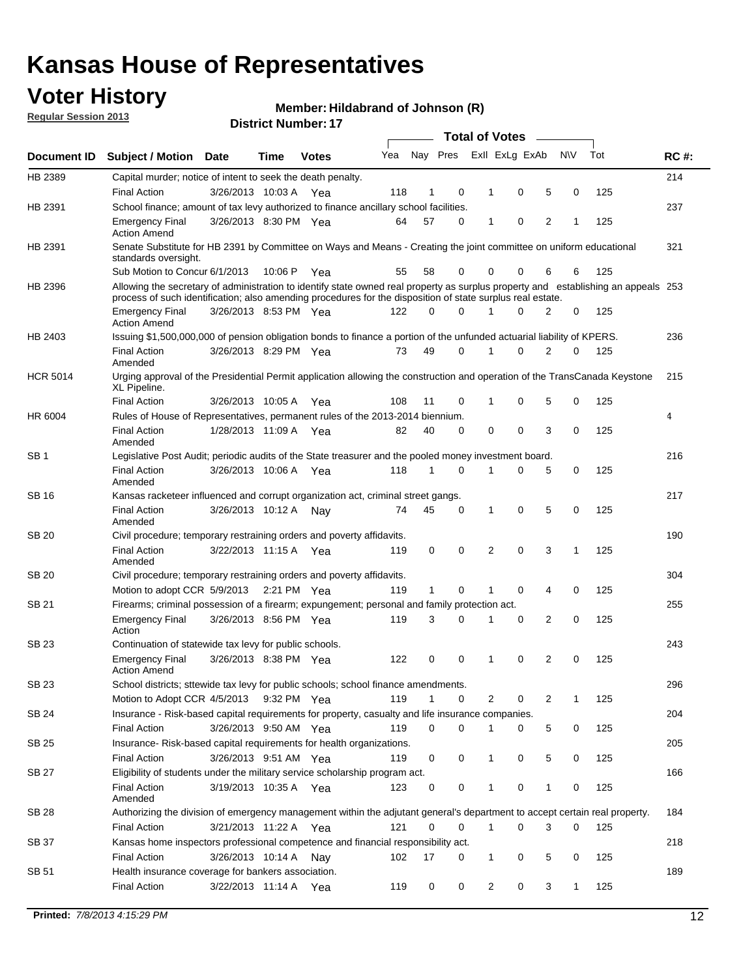## **Voter History**

**Member: Hildabrand of Johnson (R)** 

**Regular Session 2013**

|                 |                                                                                                                                                                                                                                                  |                       |         |              |     |              |          | <b>Total of Votes</b> |   |   |           |     |             |
|-----------------|--------------------------------------------------------------------------------------------------------------------------------------------------------------------------------------------------------------------------------------------------|-----------------------|---------|--------------|-----|--------------|----------|-----------------------|---|---|-----------|-----|-------------|
| Document ID     | Subject / Motion Date                                                                                                                                                                                                                            |                       | Time    | <b>Votes</b> | Yea | Nay Pres     |          | Exll ExLg ExAb        |   |   | <b>NV</b> | Tot | <b>RC#:</b> |
| HB 2389         | Capital murder; notice of intent to seek the death penalty.                                                                                                                                                                                      |                       |         |              |     |              |          |                       |   |   |           |     | 214         |
|                 | <b>Final Action</b>                                                                                                                                                                                                                              | 3/26/2013 10:03 A     |         | Yea          | 118 | 1            | 0        | 1                     | 0 | 5 | 0         | 125 |             |
| HB 2391         | School finance; amount of tax levy authorized to finance ancillary school facilities.                                                                                                                                                            |                       |         |              |     |              |          |                       |   |   |           |     | 237         |
|                 | <b>Emergency Final</b><br><b>Action Amend</b>                                                                                                                                                                                                    | 3/26/2013 8:30 PM Yea |         |              | 64  | 57           | 0        | 1                     | 0 | 2 | 1         | 125 |             |
| HB 2391         | Senate Substitute for HB 2391 by Committee on Ways and Means - Creating the joint committee on uniform educational<br>standards oversight.                                                                                                       |                       |         |              |     |              |          |                       |   |   |           |     | 321         |
|                 | Sub Motion to Concur 6/1/2013                                                                                                                                                                                                                    |                       | 10:06 P | Yea          | 55  | 58           | 0        | 0                     | 0 | 6 | 6         | 125 |             |
| HB 2396         | Allowing the secretary of administration to identify state owned real property as surplus property and establishing an appeals 253<br>process of such identification; also amending procedures for the disposition of state surplus real estate. |                       |         |              |     |              |          |                       |   |   |           |     |             |
|                 | <b>Emergency Final</b><br><b>Action Amend</b>                                                                                                                                                                                                    | 3/26/2013 8:53 PM Yea |         |              | 122 | 0            | 0        | 1                     | 0 | 2 | 0         | 125 |             |
| HB 2403         | Issuing \$1,500,000,000 of pension obligation bonds to finance a portion of the unfunded actuarial liability of KPERS.                                                                                                                           |                       |         |              |     |              |          |                       |   |   |           |     | 236         |
|                 | <b>Final Action</b><br>Amended                                                                                                                                                                                                                   | 3/26/2013 8:29 PM Yea |         |              | 73  | 49           | 0        | 1                     | 0 | 2 | 0         | 125 |             |
| <b>HCR 5014</b> | Urging approval of the Presidential Permit application allowing the construction and operation of the TransCanada Keystone<br>XL Pipeline.                                                                                                       |                       |         |              |     |              |          |                       |   |   |           |     | 215         |
|                 | <b>Final Action</b>                                                                                                                                                                                                                              | 3/26/2013 10:05 A     |         | Yea          | 108 | 11           | 0        | 1                     | 0 | 5 | 0         | 125 |             |
| HR 6004         | Rules of House of Representatives, permanent rules of the 2013-2014 biennium.                                                                                                                                                                    |                       |         |              |     |              |          |                       |   |   |           |     | 4           |
|                 | <b>Final Action</b><br>Amended                                                                                                                                                                                                                   | 1/28/2013 11:09 A     |         | Yea          | 82  | 40           | 0        | 0                     | 0 | 3 | 0         | 125 |             |
| SB <sub>1</sub> | Legislative Post Audit; periodic audits of the State treasurer and the pooled money investment board.                                                                                                                                            |                       |         |              |     |              |          |                       |   |   |           |     | 216         |
|                 | <b>Final Action</b><br>Amended                                                                                                                                                                                                                   | 3/26/2013 10:06 A Yea |         |              | 118 | $\mathbf 1$  | 0        | 1                     | 0 | 5 | 0         | 125 |             |
| SB 16           | Kansas racketeer influenced and corrupt organization act, criminal street gangs.                                                                                                                                                                 |                       |         |              |     |              |          |                       |   |   |           |     | 217         |
|                 | <b>Final Action</b><br>Amended                                                                                                                                                                                                                   | 3/26/2013 10:12 A Nay |         |              | 74  | 45           | 0        | 1                     | 0 | 5 | 0         | 125 |             |
| SB 20           | Civil procedure; temporary restraining orders and poverty affidavits.                                                                                                                                                                            |                       |         |              |     |              |          |                       |   |   |           |     | 190         |
|                 | <b>Final Action</b><br>Amended                                                                                                                                                                                                                   | 3/22/2013 11:15 A     |         | Yea          | 119 | 0            | 0        | 2                     | 0 | 3 | 1         | 125 |             |
| SB 20           | Civil procedure; temporary restraining orders and poverty affidavits.                                                                                                                                                                            |                       |         |              |     |              |          |                       |   |   |           |     | 304         |
|                 | Motion to adopt CCR 5/9/2013 2:21 PM Yea                                                                                                                                                                                                         |                       |         |              | 119 | $\mathbf{1}$ | 0        | 1                     | 0 | 4 | 0         | 125 |             |
| SB 21           | Firearms; criminal possession of a firearm; expungement; personal and family protection act.                                                                                                                                                     |                       |         |              |     |              |          |                       |   |   |           |     | 255         |
|                 | <b>Emergency Final</b><br>Action                                                                                                                                                                                                                 | 3/26/2013 8:56 PM Yea |         |              | 119 | 3            | 0        | 1                     | 0 | 2 | 0         | 125 |             |
| SB 23           | Continuation of statewide tax levy for public schools.                                                                                                                                                                                           |                       |         |              |     |              |          |                       |   |   |           |     | 243         |
|                 | <b>Emergency Final</b><br><b>Action Amend</b>                                                                                                                                                                                                    | 3/26/2013 8:38 PM Yea |         |              | 122 | 0            | 0        | 1                     | 0 | 2 | 0         | 125 |             |
| SB 23           | School districts; sttewide tax levy for public schools; school finance amendments.                                                                                                                                                               |                       |         |              |     |              |          |                       |   |   |           |     | 296         |
|                 | Motion to Adopt CCR 4/5/2013 9:32 PM Yea                                                                                                                                                                                                         |                       |         |              | 119 | $\mathbf{1}$ | 0        | 2                     | 0 | 2 | 1         | 125 |             |
| SB 24           | Insurance - Risk-based capital requirements for property, casualty and life insurance companies.                                                                                                                                                 |                       |         |              |     |              |          |                       |   |   |           |     | 204         |
|                 | <b>Final Action</b>                                                                                                                                                                                                                              | 3/26/2013 9:50 AM Yea |         |              | 119 | 0            | 0        | 1                     | 0 | 5 | 0         | 125 |             |
| SB 25           | Insurance-Risk-based capital requirements for health organizations.                                                                                                                                                                              |                       |         |              |     |              |          |                       |   |   |           |     | 205         |
|                 | <b>Final Action</b>                                                                                                                                                                                                                              | 3/26/2013 9:51 AM Yea |         |              | 119 | 0            | 0        | 1                     | 0 | 5 | 0         | 125 |             |
| SB 27           | Eligibility of students under the military service scholarship program act.                                                                                                                                                                      |                       |         |              |     |              |          |                       |   |   |           |     | 166         |
|                 | <b>Final Action</b><br>Amended                                                                                                                                                                                                                   | 3/19/2013 10:35 A Yea |         |              | 123 | 0            | 0        | 1                     | 0 | 1 | 0         | 125 |             |
| SB 28           | Authorizing the division of emergency management within the adjutant general's department to accept certain real property.                                                                                                                       |                       |         |              |     |              |          |                       |   |   |           |     | 184         |
|                 | Final Action                                                                                                                                                                                                                                     | 3/21/2013 11:22 A Yea |         |              | 121 | 0            | $\Omega$ | 1                     | 0 | 3 | 0         | 125 |             |
| SB 37           | Kansas home inspectors professional competence and financial responsibility act.                                                                                                                                                                 |                       |         |              |     |              |          |                       |   |   |           |     | 218         |
|                 | <b>Final Action</b>                                                                                                                                                                                                                              | 3/26/2013 10:14 A Nay |         |              | 102 | 17           | 0        | 1                     | 0 | 5 | 0         | 125 |             |
| SB 51           | Health insurance coverage for bankers association.                                                                                                                                                                                               |                       |         |              |     |              |          |                       |   |   |           |     | 189         |
|                 | <b>Final Action</b>                                                                                                                                                                                                                              | 3/22/2013 11:14 A Yea |         |              | 119 | 0            | 0        | 2                     | 0 | 3 | 1         | 125 |             |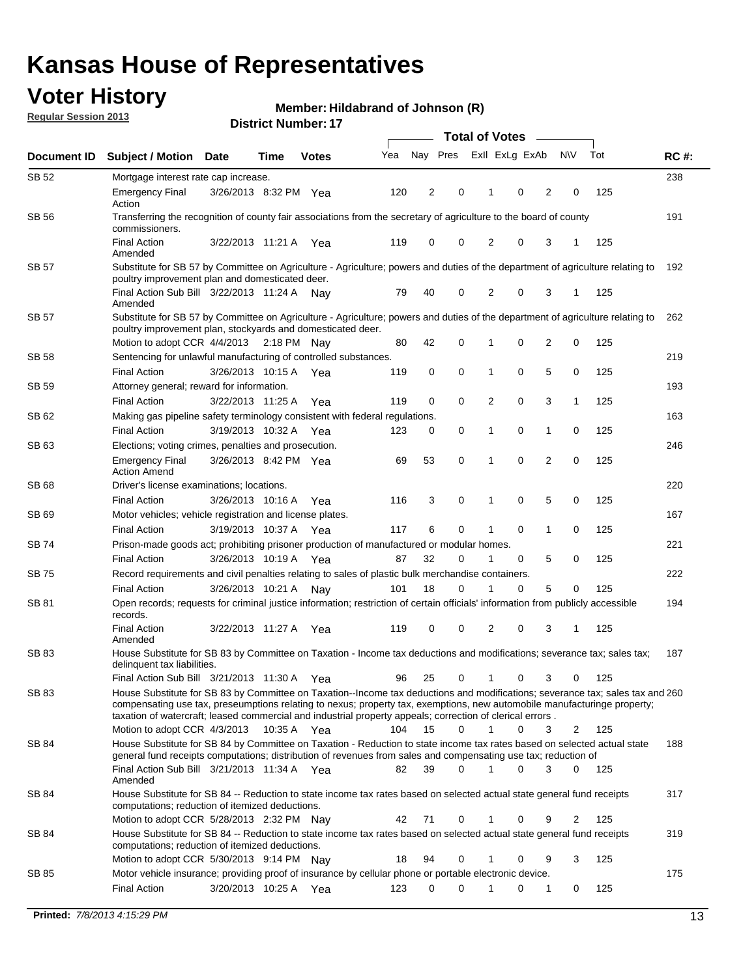## **Voter History**

**Member: Hildabrand of Johnson (R)** 

**Regular Session 2013**

|              |                                                                                                                                                                                                                                                                                                                                                                                                         |                       |             |              |     | <b>Total of Votes</b> |             |                |   |                |             |     |             |  |
|--------------|---------------------------------------------------------------------------------------------------------------------------------------------------------------------------------------------------------------------------------------------------------------------------------------------------------------------------------------------------------------------------------------------------------|-----------------------|-------------|--------------|-----|-----------------------|-------------|----------------|---|----------------|-------------|-----|-------------|--|
| Document ID  | <b>Subject / Motion Date</b>                                                                                                                                                                                                                                                                                                                                                                            |                       | Time        | <b>Votes</b> | Yea | Nay Pres              |             | Exll ExLg ExAb |   |                | <b>NV</b>   | Tot | <b>RC#:</b> |  |
| SB 52        | Mortgage interest rate cap increase.                                                                                                                                                                                                                                                                                                                                                                    |                       |             |              |     |                       |             |                |   |                |             |     | 238         |  |
|              | <b>Emergency Final</b><br>Action                                                                                                                                                                                                                                                                                                                                                                        | 3/26/2013 8:32 PM Yea |             |              | 120 | 2                     | 0           |                | 0 | 2              | 0           | 125 |             |  |
| SB 56        | Transferring the recognition of county fair associations from the secretary of agriculture to the board of county<br>commissioners.                                                                                                                                                                                                                                                                     |                       |             |              |     |                       |             |                |   |                |             |     | 191         |  |
|              | <b>Final Action</b><br>Amended                                                                                                                                                                                                                                                                                                                                                                          | 3/22/2013 11:21 A     |             | Yea          | 119 | 0                     | 0           | 2              | 0 | 3              | 1           | 125 |             |  |
| SB 57        | Substitute for SB 57 by Committee on Agriculture - Agriculture; powers and duties of the department of agriculture relating to<br>poultry improvement plan and domesticated deer.                                                                                                                                                                                                                       |                       |             |              |     |                       |             |                |   |                |             |     | 192         |  |
|              | Final Action Sub Bill 3/22/2013 11:24 A<br>Amended                                                                                                                                                                                                                                                                                                                                                      |                       |             | Nav          | 79  | 40                    | 0           | 2              | 0 | 3              | 1           | 125 |             |  |
| SB 57        | Substitute for SB 57 by Committee on Agriculture - Agriculture; powers and duties of the department of agriculture relating to<br>poultry improvement plan, stockyards and domesticated deer.                                                                                                                                                                                                           |                       |             |              |     |                       |             | 1              |   | 2              |             |     | 262         |  |
| SB 58        | Motion to adopt CCR 4/4/2013 2:18 PM Nay<br>Sentencing for unlawful manufacturing of controlled substances.                                                                                                                                                                                                                                                                                             |                       |             |              | 80  | 42                    | 0           |                | 0 |                | 0           | 125 | 219         |  |
|              | <b>Final Action</b>                                                                                                                                                                                                                                                                                                                                                                                     | 3/26/2013 10:15 A     |             |              | 119 | 0                     | 0           | 1              | 0 | 5              | 0           | 125 |             |  |
| <b>SB 59</b> | Attorney general; reward for information.                                                                                                                                                                                                                                                                                                                                                               |                       |             | Yea          |     |                       |             |                |   |                |             |     | 193         |  |
|              |                                                                                                                                                                                                                                                                                                                                                                                                         |                       |             |              |     |                       | 0           |                | 0 |                |             |     |             |  |
|              | <b>Final Action</b>                                                                                                                                                                                                                                                                                                                                                                                     | 3/22/2013 11:25 A     |             | Yea          | 119 | 0                     |             | 2              |   | 3              | 1           | 125 |             |  |
| SB 62        | Making gas pipeline safety terminology consistent with federal regulations.                                                                                                                                                                                                                                                                                                                             |                       |             |              |     |                       |             |                |   |                |             |     | 163         |  |
|              | <b>Final Action</b>                                                                                                                                                                                                                                                                                                                                                                                     | 3/19/2013 10:32 A     |             | Yea          | 123 | 0                     | 0           | 1              | 0 | 1              | 0           | 125 |             |  |
| SB 63        | Elections; voting crimes, penalties and prosecution.<br><b>Emergency Final</b><br><b>Action Amend</b>                                                                                                                                                                                                                                                                                                   | 3/26/2013 8:42 PM Yea |             |              | 69  | 53                    | $\mathbf 0$ | 1              | 0 | $\overline{2}$ | $\mathbf 0$ | 125 | 246         |  |
| SB 68        | Driver's license examinations; locations.                                                                                                                                                                                                                                                                                                                                                               |                       |             |              |     |                       |             |                |   |                |             |     | 220         |  |
|              | <b>Final Action</b>                                                                                                                                                                                                                                                                                                                                                                                     | 3/26/2013 10:16 A     |             | Yea          | 116 | 3                     | 0           | 1              | 0 | 5              | 0           | 125 |             |  |
| SB 69        | Motor vehicles; vehicle registration and license plates.                                                                                                                                                                                                                                                                                                                                                |                       |             |              |     |                       |             |                |   |                |             |     | 167         |  |
|              | <b>Final Action</b>                                                                                                                                                                                                                                                                                                                                                                                     | 3/19/2013 10:37 A     |             | Yea          | 117 | 6                     | 0           | 1              | 0 | $\mathbf{1}$   | 0           | 125 |             |  |
| SB 74        | Prison-made goods act; prohibiting prisoner production of manufactured or modular homes.                                                                                                                                                                                                                                                                                                                |                       |             |              |     |                       |             |                |   |                |             |     | 221         |  |
|              | <b>Final Action</b>                                                                                                                                                                                                                                                                                                                                                                                     | 3/26/2013 10:19 A     |             | Yea          | 87  | 32                    | 0           | 1              | 0 | 5              | 0           | 125 |             |  |
| SB 75        | Record requirements and civil penalties relating to sales of plastic bulk merchandise containers.                                                                                                                                                                                                                                                                                                       |                       |             |              |     |                       |             |                |   |                |             |     | 222         |  |
|              | <b>Final Action</b>                                                                                                                                                                                                                                                                                                                                                                                     | 3/26/2013 10:21 A     |             | Nav          | 101 | 18                    | 0           | 1              | 0 | 5              | 0           | 125 |             |  |
| SB 81        | Open records; requests for criminal justice information; restriction of certain officials' information from publicly accessible<br>records.                                                                                                                                                                                                                                                             |                       |             |              |     |                       |             |                |   |                |             |     | 194         |  |
|              | <b>Final Action</b><br>Amended                                                                                                                                                                                                                                                                                                                                                                          | 3/22/2013 11:27 A     |             | Yea          | 119 | 0                     | 0           | 2              | 0 | 3              | 1           | 125 |             |  |
| <b>SB83</b>  | House Substitute for SB 83 by Committee on Taxation - Income tax deductions and modifications; severance tax; sales tax;<br>delinquent tax liabilities.                                                                                                                                                                                                                                                 |                       |             |              |     |                       |             |                |   |                |             |     | 187         |  |
|              | Final Action Sub Bill 3/21/2013 11:30 A Yea                                                                                                                                                                                                                                                                                                                                                             |                       |             |              | 96  | 25                    | 0           | 1              | 0 | 3              | 0           | 125 |             |  |
| SB 83        | House Substitute for SB 83 by Committee on Taxation--Income tax deductions and modifications; severance tax; sales tax and 260<br>compensating use tax, preseumptions relating to nexus; property tax, exemptions, new automobile manufacturinge property;<br>taxation of watercraft; leased commercial and industrial property appeals; correction of clerical errors.<br>Motion to adopt CCR 4/3/2013 |                       | 10:35 A Yea |              | 104 | 15                    | 0           | $\mathbf{1}$   | 0 | 3              | 2           | 125 |             |  |
| SB 84        | House Substitute for SB 84 by Committee on Taxation - Reduction to state income tax rates based on selected actual state                                                                                                                                                                                                                                                                                |                       |             |              |     |                       |             |                |   |                |             |     | 188         |  |
|              | general fund receipts computations; distribution of revenues from sales and compensating use tax; reduction of<br>Final Action Sub Bill 3/21/2013 11:34 A Yea                                                                                                                                                                                                                                           |                       |             |              | 82  | 39                    | $\Omega$    |                | 0 | 3              | $\Omega$    | 125 |             |  |
| SB 84        | Amended<br>House Substitute for SB 84 -- Reduction to state income tax rates based on selected actual state general fund receipts                                                                                                                                                                                                                                                                       |                       |             |              |     |                       |             |                |   |                |             |     | 317         |  |
|              | computations; reduction of itemized deductions.<br>Motion to adopt CCR 5/28/2013 2:32 PM Nav                                                                                                                                                                                                                                                                                                            |                       |             |              | 42  | 71                    | 0           |                | 0 | 9              | 2           | 125 |             |  |
| SB 84        | House Substitute for SB 84 -- Reduction to state income tax rates based on selected actual state general fund receipts                                                                                                                                                                                                                                                                                  |                       |             |              |     |                       |             |                |   |                |             |     | 319         |  |
|              | computations; reduction of itemized deductions.<br>Motion to adopt CCR 5/30/2013 9:14 PM Nay                                                                                                                                                                                                                                                                                                            |                       |             |              | 18  | 94                    | 0           |                | 0 | 9              | 3           | 125 |             |  |
| SB 85        | Motor vehicle insurance; providing proof of insurance by cellular phone or portable electronic device.                                                                                                                                                                                                                                                                                                  |                       |             |              |     |                       |             |                |   |                |             |     | 175         |  |
|              | <b>Final Action</b>                                                                                                                                                                                                                                                                                                                                                                                     | 3/20/2013 10:25 A Yea |             |              | 123 | 0                     | $\Omega$    |                | 0 | 1              | 0           | 125 |             |  |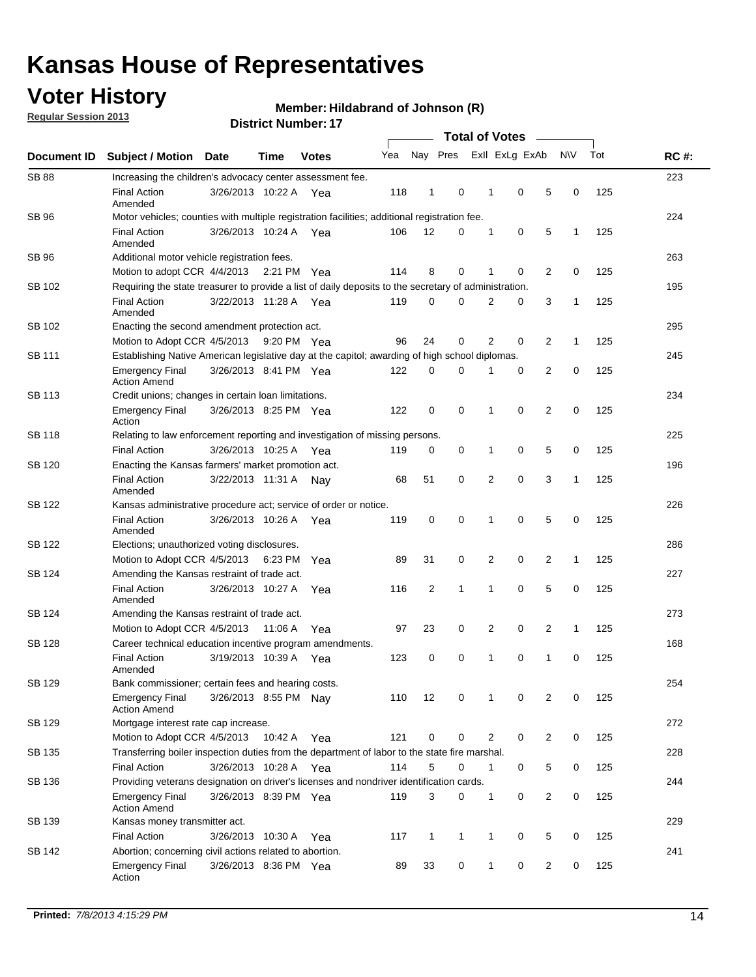## **Voter History**

**Regular Session 2013**

#### **Member: Hildabrand of Johnson (R)**

| Document ID   | <b>Subject / Motion Date</b>                                                                          |                       | Time    | <b>Votes</b> | Yea | Nay Pres       |              |                | Exll ExLg ExAb |                | N\V          | Tot | <b>RC#:</b> |
|---------------|-------------------------------------------------------------------------------------------------------|-----------------------|---------|--------------|-----|----------------|--------------|----------------|----------------|----------------|--------------|-----|-------------|
| <b>SB 88</b>  | Increasing the children's advocacy center assessment fee.                                             |                       |         |              |     |                |              |                |                |                |              |     | 223         |
|               | <b>Final Action</b><br>Amended                                                                        | 3/26/2013 10:22 A     |         | Yea          | 118 | $\mathbf{1}$   | 0            | 1              | 0              | 5              | 0            | 125 |             |
| SB 96         | Motor vehicles; counties with multiple registration facilities; additional registration fee.          |                       |         |              |     |                |              |                |                |                |              |     | 224         |
|               | <b>Final Action</b><br>Amended                                                                        | 3/26/2013 10:24 A Yea |         |              | 106 | 12             | 0            | 1              | 0              | 5              | 1            | 125 |             |
| SB 96         | Additional motor vehicle registration fees.                                                           |                       |         |              |     |                |              |                |                |                |              |     | 263         |
|               | Motion to adopt CCR 4/4/2013 2:21 PM Yea                                                              |                       |         |              | 114 | 8              | 0            | 1              | $\mathbf 0$    | 2              | 0            | 125 |             |
| SB 102        | Requiring the state treasurer to provide a list of daily deposits to the secretary of administration. |                       |         |              |     |                |              |                |                |                |              |     | 195         |
|               | <b>Final Action</b><br>Amended                                                                        | 3/22/2013 11:28 A Yea |         |              | 119 | 0              | $\Omega$     | $\overline{2}$ | 0              | 3              | 1            | 125 |             |
| SB 102        | Enacting the second amendment protection act.                                                         |                       |         |              |     |                |              |                |                |                |              |     | 295         |
|               | Motion to Adopt CCR 4/5/2013                                                                          |                       |         | 9:20 PM Yea  | 96  | 24             | 0            | $\overline{2}$ | 0              | 2              | 1            | 125 |             |
| SB 111        | Establishing Native American legislative day at the capitol; awarding of high school diplomas.        |                       |         |              |     |                |              |                |                |                |              |     |             |
|               | <b>Emergency Final</b><br><b>Action Amend</b>                                                         | 3/26/2013 8:41 PM Yea |         |              | 122 | 0              | 0            |                | 0              | 2              | 0            | 125 |             |
| SB 113        | Credit unions; changes in certain loan limitations.                                                   |                       |         |              |     |                |              |                |                |                |              |     | 234         |
|               | Emergency Final<br>Action                                                                             | 3/26/2013 8:25 PM Yea |         |              | 122 | $\mathbf 0$    | 0            | 1              | $\mathbf 0$    | $\overline{2}$ | 0            | 125 |             |
| <b>SB 118</b> | Relating to law enforcement reporting and investigation of missing persons.                           |                       |         |              |     |                |              |                |                |                |              |     | 225         |
|               | <b>Final Action</b>                                                                                   | 3/26/2013 10:25 A Yea |         |              | 119 | 0              | 0            | $\mathbf 1$    | 0              | 5              | 0            | 125 |             |
| SB 120        | Enacting the Kansas farmers' market promotion act.                                                    |                       |         |              |     |                |              |                |                |                |              |     | 196         |
|               | <b>Final Action</b><br>Amended                                                                        | 3/22/2013 11:31 A Nay |         |              | 68  | 51             | 0            | $\overline{2}$ | $\mathbf 0$    | 3              | 1            | 125 |             |
| <b>SB 122</b> | Kansas administrative procedure act; service of order or notice.                                      |                       |         |              |     |                |              |                |                |                |              |     | 226         |
|               | <b>Final Action</b><br>Amended                                                                        | 3/26/2013 10:26 A     |         | Yea          | 119 | 0              | 0            | 1              | $\mathbf 0$    | 5              | 0            | 125 |             |
| SB 122        | Elections; unauthorized voting disclosures.                                                           |                       |         |              |     |                |              |                |                |                |              |     |             |
|               | Motion to Adopt CCR 4/5/2013 6:23 PM                                                                  |                       |         | Yea          | 89  | 31             | 0            | 2              | 0              | 2              | $\mathbf{1}$ | 125 |             |
| SB 124        | Amending the Kansas restraint of trade act.                                                           |                       |         |              |     |                |              |                |                |                |              |     | 227         |
|               | <b>Final Action</b><br>Amended                                                                        | 3/26/2013 10:27 A     |         | Yea          | 116 | $\overline{2}$ | $\mathbf{1}$ | 1              | $\mathbf 0$    | 5              | 0            | 125 |             |
| SB 124        | Amending the Kansas restraint of trade act.                                                           |                       |         |              |     |                |              |                |                |                |              |     | 273         |
|               | Motion to Adopt CCR 4/5/2013                                                                          |                       | 11:06 A | Yea          | 97  | 23             | 0            | $\overline{2}$ | 0              | $\overline{2}$ | $\mathbf{1}$ | 125 |             |
| <b>SB 128</b> | Career technical education incentive program amendments.                                              |                       |         |              |     |                |              |                |                |                |              |     | 168         |
|               | <b>Final Action</b><br>Amended                                                                        | 3/19/2013 10:39 A     |         | Yea          | 123 | 0              | 0            | 1              | 0              | $\mathbf{1}$   | 0            | 125 |             |
| SB 129        | Bank commissioner: certain fees and hearing costs.                                                    |                       |         |              |     |                |              |                |                |                |              |     | 254         |
|               | Emergency Final<br><b>Action Amend</b>                                                                | 3/26/2013 8:55 PM Nay |         |              | 110 | 12             | 0            | 1              | 0              | 2              | 0            | 125 |             |
| <b>SB 129</b> | Mortgage interest rate cap increase.                                                                  |                       |         |              |     |                |              |                |                |                |              |     | 272         |
|               | Motion to Adopt CCR 4/5/2013                                                                          |                       | 10:42 A | Yea          | 121 | $\mathbf 0$    | 0            | 2              | 0              | $\overline{2}$ | 0            | 125 |             |
| SB 135        | Transferring boiler inspection duties from the department of labor to the state fire marshal.         |                       |         |              |     |                |              |                |                |                |              |     | 228         |
|               | <b>Final Action</b>                                                                                   | 3/26/2013 10:28 A Yea |         |              | 114 | 5              | 0            | 1              | 0              | 5              | 0            | 125 |             |
| SB 136        | Providing veterans designation on driver's licenses and nondriver identification cards.               |                       |         |              |     |                |              |                |                |                |              |     | 244         |
|               | Emergency Final<br><b>Action Amend</b>                                                                | 3/26/2013 8:39 PM Yea |         |              | 119 | 3              | 0            | 1              | 0              | $\overline{2}$ | 0            | 125 |             |
| SB 139        | Kansas money transmitter act.                                                                         |                       |         |              |     |                |              |                |                |                |              |     | 229         |
|               | <b>Final Action</b>                                                                                   | 3/26/2013 10:30 A     |         | Yea          | 117 | 1              | $\mathbf{1}$ | 1              | 0              | 5              | 0            | 125 |             |
| SB 142        | Abortion; concerning civil actions related to abortion.                                               |                       |         |              |     |                |              |                |                |                |              |     | 241         |
|               | <b>Emergency Final</b><br>Action                                                                      | 3/26/2013 8:36 PM Yea |         |              | 89  | 33             | 0            | 1              | 0              | $\overline{c}$ | 0            | 125 |             |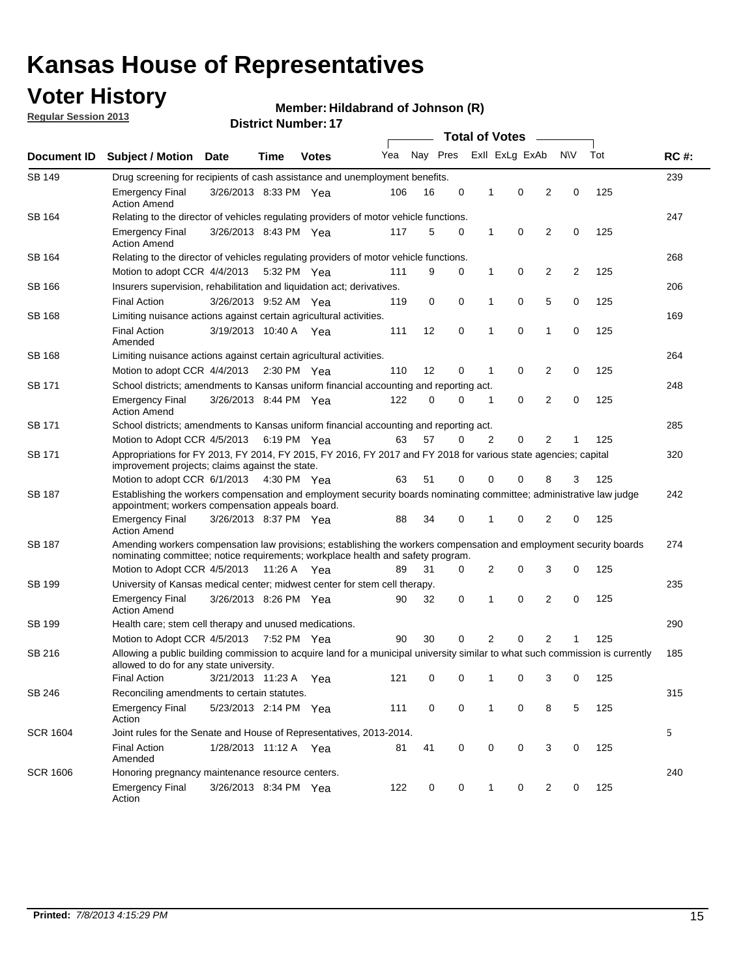## **Voter History**

**Regular Session 2013**

#### **Member: Hildabrand of Johnson (R)**

|                 |                                                                                                                                                                                                       |                                                                                                                                                                         |             |               | <b>Total of Votes</b> |          |   |                |                |                |     |     |             |  |  |  |  |  |  |
|-----------------|-------------------------------------------------------------------------------------------------------------------------------------------------------------------------------------------------------|-------------------------------------------------------------------------------------------------------------------------------------------------------------------------|-------------|---------------|-----------------------|----------|---|----------------|----------------|----------------|-----|-----|-------------|--|--|--|--|--|--|
| Document ID     | <b>Subject / Motion Date</b>                                                                                                                                                                          |                                                                                                                                                                         | Time        | <b>Votes</b>  | Yea                   | Nay Pres |   |                | Exll ExLg ExAb |                | N\V | Tot | <b>RC#:</b> |  |  |  |  |  |  |
| SB 149          | Drug screening for recipients of cash assistance and unemployment benefits.                                                                                                                           |                                                                                                                                                                         |             |               |                       |          |   |                |                |                |     |     | 239         |  |  |  |  |  |  |
|                 | <b>Emergency Final</b><br><b>Action Amend</b>                                                                                                                                                         | 3/26/2013 8:33 PM Yea                                                                                                                                                   |             |               | 106                   | 16       | 0 | 1              | 0              | 2              | 0   | 125 |             |  |  |  |  |  |  |
| SB 164          | Relating to the director of vehicles regulating providers of motor vehicle functions.                                                                                                                 |                                                                                                                                                                         |             |               |                       |          |   |                |                |                |     |     | 247         |  |  |  |  |  |  |
|                 | <b>Emergency Final</b><br><b>Action Amend</b>                                                                                                                                                         | 3/26/2013 8:43 PM Yea                                                                                                                                                   |             |               | 117                   | 5        | 0 | $\mathbf{1}$   | 0              | $\overline{2}$ | 0   | 125 |             |  |  |  |  |  |  |
| SB 164          | Relating to the director of vehicles regulating providers of motor vehicle functions.                                                                                                                 |                                                                                                                                                                         |             |               |                       |          |   |                |                |                |     |     | 268         |  |  |  |  |  |  |
|                 | Motion to adopt CCR 4/4/2013 5:32 PM Yea                                                                                                                                                              |                                                                                                                                                                         |             |               | 111                   | 9        | 0 | 1              | 0              | $\overline{2}$ | 2   | 125 |             |  |  |  |  |  |  |
| SB 166          | Insurers supervision, rehabilitation and liquidation act; derivatives.                                                                                                                                |                                                                                                                                                                         |             |               |                       |          |   |                |                |                |     |     | 206         |  |  |  |  |  |  |
|                 | <b>Final Action</b>                                                                                                                                                                                   | 3/26/2013 9:52 AM Yea                                                                                                                                                   |             |               | 119                   | 0        | 0 | 1              | 0              | 5              | 0   | 125 |             |  |  |  |  |  |  |
| <b>SB 168</b>   | Limiting nuisance actions against certain agricultural activities.                                                                                                                                    |                                                                                                                                                                         |             |               |                       |          |   |                |                |                |     |     | 169         |  |  |  |  |  |  |
|                 | <b>Final Action</b><br>Amended                                                                                                                                                                        | 3/19/2013 10:40 A Yea                                                                                                                                                   |             |               | 111                   | 12       | 0 | 1              | $\mathbf 0$    | 1              | 0   | 125 |             |  |  |  |  |  |  |
| SB 168          | Limiting nuisance actions against certain agricultural activities.                                                                                                                                    |                                                                                                                                                                         |             |               |                       |          |   |                |                |                |     |     | 264         |  |  |  |  |  |  |
|                 | Motion to adopt CCR 4/4/2013                                                                                                                                                                          |                                                                                                                                                                         |             | $2:30$ PM Yea | 110                   | 12       | 0 | 1              | 0              | 2              | 0   | 125 |             |  |  |  |  |  |  |
| SB 171          | School districts; amendments to Kansas uniform financial accounting and reporting act.                                                                                                                |                                                                                                                                                                         |             |               |                       |          |   |                |                |                |     |     | 248         |  |  |  |  |  |  |
|                 | <b>Emergency Final</b><br><b>Action Amend</b>                                                                                                                                                         | 3/26/2013 8:44 PM Yea                                                                                                                                                   |             |               | 122                   | 0        | 0 | 1              | 0              | 2              | 0   | 125 |             |  |  |  |  |  |  |
| SB 171          | School districts; amendments to Kansas uniform financial accounting and reporting act.                                                                                                                |                                                                                                                                                                         |             |               |                       |          |   |                |                |                |     |     | 285         |  |  |  |  |  |  |
|                 | Motion to Adopt CCR 4/5/2013 6:19 PM Yea                                                                                                                                                              |                                                                                                                                                                         |             |               | 63                    | 57       | 0 | $\overline{2}$ | 0              | 2              | 1   | 125 |             |  |  |  |  |  |  |
| SB 171          | Appropriations for FY 2013, FY 2014, FY 2015, FY 2016, FY 2017 and FY 2018 for various state agencies; capital<br>improvement projects; claims against the state.                                     |                                                                                                                                                                         |             |               |                       |          |   |                |                |                |     | 320 |             |  |  |  |  |  |  |
|                 | Motion to adopt CCR 6/1/2013 4:30 PM Yea                                                                                                                                                              |                                                                                                                                                                         |             |               | 63                    | 51       | 0 | 0              | 0              | 8              | 3   | 125 |             |  |  |  |  |  |  |
| SB 187          |                                                                                                                                                                                                       | Establishing the workers compensation and employment security boards nominating committee; administrative law judge<br>appointment; workers compensation appeals board. |             |               |                       |          |   |                |                |                |     |     |             |  |  |  |  |  |  |
|                 | <b>Emergency Final</b><br><b>Action Amend</b>                                                                                                                                                         | 3/26/2013 8:37 PM Yea                                                                                                                                                   |             |               | 88                    | 34       | 0 | 1              | 0              | 2              | 0   | 125 |             |  |  |  |  |  |  |
| SB 187          | Amending workers compensation law provisions; establishing the workers compensation and employment security boards<br>nominating committee; notice requirements; workplace health and safety program. |                                                                                                                                                                         |             |               |                       |          |   |                |                |                |     |     |             |  |  |  |  |  |  |
|                 | Motion to Adopt CCR 4/5/2013 11:26 A Yea                                                                                                                                                              |                                                                                                                                                                         |             |               | 89                    | 31       | 0 | 2              | 0              | 3              | 0   | 125 |             |  |  |  |  |  |  |
| SB 199          | University of Kansas medical center; midwest center for stem cell therapy.                                                                                                                            |                                                                                                                                                                         |             |               |                       |          |   |                |                |                |     |     | 235         |  |  |  |  |  |  |
|                 | Emergency Final<br><b>Action Amend</b>                                                                                                                                                                | 3/26/2013 8:26 PM Yea                                                                                                                                                   |             |               | 90                    | 32       | 0 | 1              | 0              | 2              | 0   | 125 |             |  |  |  |  |  |  |
| SB 199          | Health care; stem cell therapy and unused medications.                                                                                                                                                |                                                                                                                                                                         |             |               |                       |          |   |                |                |                |     |     | 290         |  |  |  |  |  |  |
|                 | Motion to Adopt CCR 4/5/2013                                                                                                                                                                          |                                                                                                                                                                         | 7:52 PM Yea |               | 90                    | 30       | 0 | $\overline{2}$ | 0              | 2              | 1   | 125 |             |  |  |  |  |  |  |
| SB 216          | Allowing a public building commission to acquire land for a municipal university similar to what such commission is currently<br>allowed to do for any state university.                              |                                                                                                                                                                         |             |               |                       |          |   |                |                |                |     |     | 185         |  |  |  |  |  |  |
|                 | <b>Final Action</b>                                                                                                                                                                                   | 3/21/2013 11:23 A Yea                                                                                                                                                   |             |               | 121                   | 0        | 0 | 1              | 0              | 3              | 0   | 125 |             |  |  |  |  |  |  |
| SB 246          | Reconciling amendments to certain statutes.                                                                                                                                                           |                                                                                                                                                                         |             |               |                       |          |   |                |                |                |     |     | 315         |  |  |  |  |  |  |
|                 | <b>Emergency Final</b><br>Action                                                                                                                                                                      | 5/23/2013 2:14 PM Yea                                                                                                                                                   |             |               | 111                   | 0        | 0 | 1              | 0              | 8              | 5   | 125 |             |  |  |  |  |  |  |
| <b>SCR 1604</b> | Joint rules for the Senate and House of Representatives, 2013-2014.                                                                                                                                   |                                                                                                                                                                         |             |               |                       |          |   |                |                |                |     |     | 5           |  |  |  |  |  |  |
|                 | <b>Final Action</b><br>Amended                                                                                                                                                                        | 1/28/2013 11:12 A Yea                                                                                                                                                   |             |               | 81                    | 41       | 0 | 0              | 0              | 3              | 0   | 125 |             |  |  |  |  |  |  |
| <b>SCR 1606</b> | Honoring pregnancy maintenance resource centers.                                                                                                                                                      |                                                                                                                                                                         |             |               |                       |          |   |                |                |                |     | 240 |             |  |  |  |  |  |  |
|                 | <b>Emergency Final</b><br>Action                                                                                                                                                                      | 3/26/2013 8:34 PM Yea                                                                                                                                                   |             |               | 122                   | 0        | 0 | 1              | 0              | 2              | 0   | 125 |             |  |  |  |  |  |  |